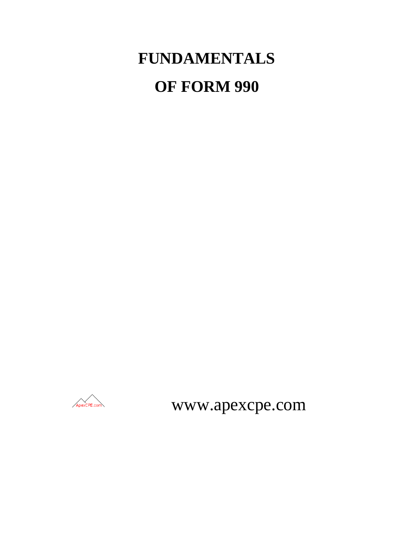# **FUNDAMENTALS OF FORM 990**



www.apexcpe.com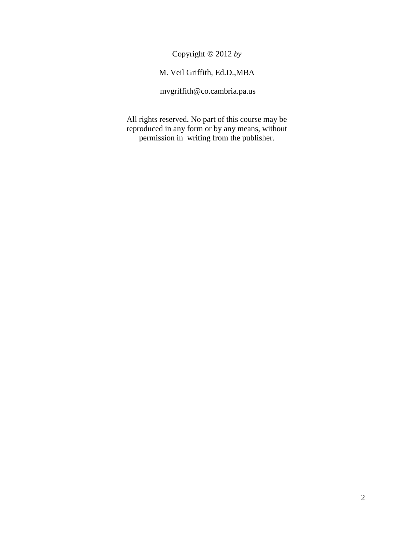Copyright 2012 *by*

# M. Veil Griffith, Ed.D.,MBA

mvgriffith@co.cambria.pa.us

All rights reserved. No part of this course may be reproduced in any form or by any means, without permission in writing from the publisher.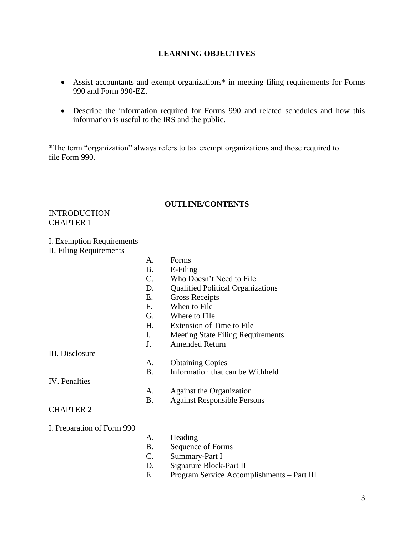# **LEARNING OBJECTIVES**

- Assist accountants and exempt organizations\* in meeting filing requirements for Forms 990 and Form 990-EZ.
- Describe the information required for Forms 990 and related schedules and how this information is useful to the IRS and the public.

\*The term "organization" always refers to tax exempt organizations and those required to file Form 990.

#### **OUTLINE/CONTENTS**

**INTRODUCTION** CHAPTER 1

#### I. Exemption Requirements

II. Filing Requirements

|                            | А.          | Forms                                      |
|----------------------------|-------------|--------------------------------------------|
|                            | <b>B.</b>   | E-Filing                                   |
|                            | C.          | Who Doesn't Need to File                   |
|                            | D.          | <b>Qualified Political Organizations</b>   |
|                            | E.          | <b>Gross Receipts</b>                      |
|                            | F.          | When to File                               |
|                            | G.          | Where to File                              |
|                            | H.          | <b>Extension of Time to File</b>           |
|                            | I.          | <b>Meeting State Filing Requirements</b>   |
|                            | J.          | <b>Amended Return</b>                      |
| III. Disclosure            |             |                                            |
|                            | А.          | <b>Obtaining Copies</b>                    |
|                            | <b>B.</b>   | Information that can be Withheld           |
| <b>IV.</b> Penalties       |             |                                            |
|                            | A.          | Against the Organization                   |
|                            | <b>B.</b>   | <b>Against Responsible Persons</b>         |
| <b>CHAPTER 2</b>           |             |                                            |
|                            |             |                                            |
| I. Preparation of Form 990 |             |                                            |
|                            | А.          | Heading                                    |
|                            | <b>B.</b>   | Sequence of Forms                          |
|                            | $C_{\cdot}$ | Summary-Part I                             |
|                            | D.          | Signature Block-Part II                    |
|                            | Е.          | Program Service Accomplishments - Part III |
|                            |             |                                            |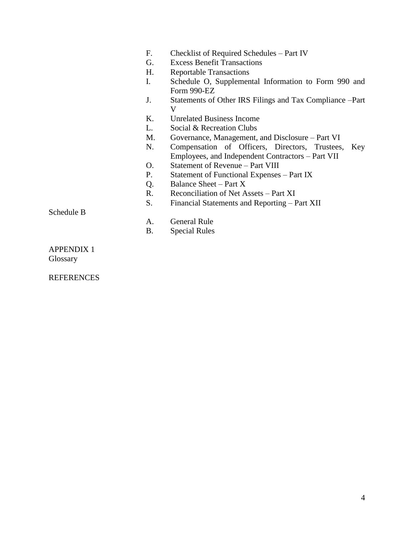- F. Checklist of Required Schedules Part IV
- G. Excess Benefit Transactions
- H. Reportable Transactions
- I. Schedule O, Supplemental Information to Form 990 and Form 990-EZ
- J. Statements of Other IRS Filings and Tax Compliance –Part V
- K. Unrelated Business Income
- L. Social & Recreation Clubs
- M. Governance, Management, and Disclosure Part VI
- N. Compensation of Officers, Directors, Trustees, Key Employees, and Independent Contractors – Part VII
- O. Statement of Revenue Part VIII
- P. Statement of Functional Expenses Part IX
- Q. Balance Sheet Part X
- R. Reconciliation of Net Assets Part XI
- S. Financial Statements and Reporting Part XII

Schedule B

- A. General Rule
- B. Special Rules

APPENDIX 1 Glossary

**REFERENCES**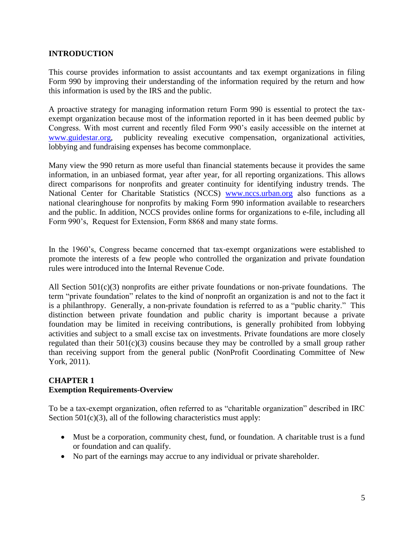# **INTRODUCTION**

This course provides information to assist accountants and tax exempt organizations in filing Form 990 by improving their understanding of the information required by the return and how this information is used by the IRS and the public.

A proactive strategy for managing information return Form 990 is essential to protect the taxexempt organization because most of the information reported in it has been deemed public by Congress. With most current and recently filed Form 990's easily accessible on the internet at [www.guidestar.org,](http://www.guidestar.org/) publicity revealing executive compensation, organizational activities, lobbying and fundraising expenses has become commonplace.

Many view the 990 return as more useful than financial statements because it provides the same information, in an unbiased format, year after year, for all reporting organizations. This allows direct comparisons for nonprofits and greater continuity for identifying industry trends. The National Center for Charitable Statistics (NCCS) [www.nccs.urban.org](http://www.nccs.urban.org/) also functions as a national clearinghouse for nonprofits by making Form 990 information available to researchers and the public. In addition, NCCS provides online forms for organizations to e-file, including all Form 990's, Request for Extension, Form 8868 and many state forms.

In the 1960's, Congress became concerned that tax-exempt organizations were established to promote the interests of a few people who controlled the organization and private foundation rules were introduced into the Internal Revenue Code.

All Section 501(c)(3) nonprofits are either private foundations or non-private foundations. The term "private foundation" relates to the kind of nonprofit an organization is and not to the fact it is a philanthropy. Generally, a non-private foundation is referred to as a "public charity." This distinction between private foundation and public charity is important because a private foundation may be limited in receiving contributions, is generally prohibited from lobbying activities and subject to a small excise tax on investments. Private foundations are more closely regulated than their  $501(c)(3)$  cousins because they may be controlled by a small group rather than receiving support from the general public (NonProfit Coordinating Committee of New York, 2011).

#### **CHAPTER 1 Exemption Requirements-Overview**

To be a tax-exempt organization, often referred to as "charitable organization" described in IRC Section  $501(c)(3)$ , all of the following characteristics must apply:

- Must be a corporation, community chest, fund, or foundation. A charitable trust is a fund or foundation and can qualify.
- No part of the earnings may accrue to any individual or private shareholder.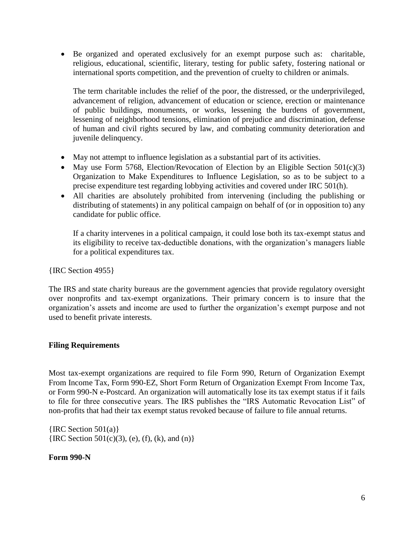Be organized and operated exclusively for an exempt purpose such as: charitable, religious, educational, scientific, literary, testing for public safety, fostering national or international sports competition, and the prevention of cruelty to children or animals.

The term charitable includes the relief of the poor, the distressed, or the underprivileged, advancement of religion, advancement of education or science, erection or maintenance of public buildings, monuments, or works, lessening the burdens of government, lessening of neighborhood tensions, elimination of prejudice and discrimination, defense of human and civil rights secured by law, and combating community deterioration and juvenile delinquency.

- May not attempt to influence legislation as a substantial part of its activities.
- May use Form 5768, Election/Revocation of Election by an Eligible Section  $501(c)(3)$ Organization to Make Expenditures to Influence Legislation, so as to be subject to a precise expenditure test regarding lobbying activities and covered under IRC 501(h).
- All charities are absolutely prohibited from intervening (including the publishing or distributing of statements) in any political campaign on behalf of (or in opposition to) any candidate for public office.

If a charity intervenes in a political campaign, it could lose both its tax-exempt status and its eligibility to receive tax-deductible donations, with the organization's managers liable for a political expenditures tax.

{IRC Section 4955}

The IRS and state charity bureaus are the government agencies that provide regulatory oversight over nonprofits and tax-exempt organizations. Their primary concern is to insure that the organization's assets and income are used to further the organization's exempt purpose and not used to benefit private interests.

## **Filing Requirements**

Most tax-exempt organizations are required to file Form 990, Return of Organization Exempt From Income Tax, Form 990-EZ, Short Form Return of Organization Exempt From Income Tax, or Form 990-N e-Postcard. An organization will automatically lose its tax exempt status if it fails to file for three consecutive years. The IRS publishes the "IRS Automatic Revocation List" of non-profits that had their tax exempt status revoked because of failure to file annual returns.

 ${IRC Section 501(a)}$  ${[IRC Section 501(c)(3), (e), (f), (k), and (n)]}$ 

## **Form 990-N**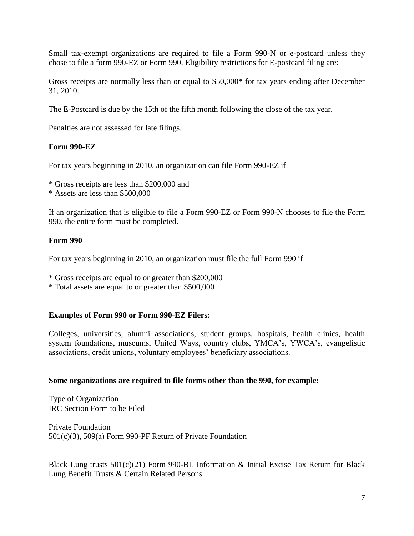Small tax-exempt organizations are required to file a Form 990-N or e-postcard unless they chose to file a form 990-EZ or Form 990. Eligibility restrictions for E-postcard filing are:

Gross receipts are normally less than or equal to \$50,000\* for tax years ending after December 31, 2010.

The E-Postcard is due by the 15th of the fifth month following the close of the tax year.

Penalties are not assessed for late filings.

#### **Form 990-EZ**

For tax years beginning in 2010, an organization can file Form 990-EZ if

\* Gross receipts are less than \$200,000 and

\* Assets are less than \$500,000

If an organization that is eligible to file a Form 990-EZ or Form 990-N chooses to file the Form 990, the entire form must be completed.

#### **Form 990**

For tax years beginning in 2010, an organization must file the full Form 990 if

\* Gross receipts are equal to or greater than \$200,000

\* Total assets are equal to or greater than \$500,000

#### **Examples of Form 990 or Form 990-EZ Filers:**

Colleges, universities, alumni associations, student groups, hospitals, health clinics, health system foundations, museums, United Ways, country clubs, YMCA's, YWCA's, evangelistic associations, credit unions, voluntary employees' beneficiary associations.

#### **Some organizations are required to file forms other than the 990, for example:**

Type of Organization IRC Section Form to be Filed

Private Foundation 501(c)(3), 509(a) Form 990-PF Return of Private Foundation

Black Lung trusts 501(c)(21) Form 990-BL Information & Initial Excise Tax Return for Black Lung Benefit Trusts & Certain Related Persons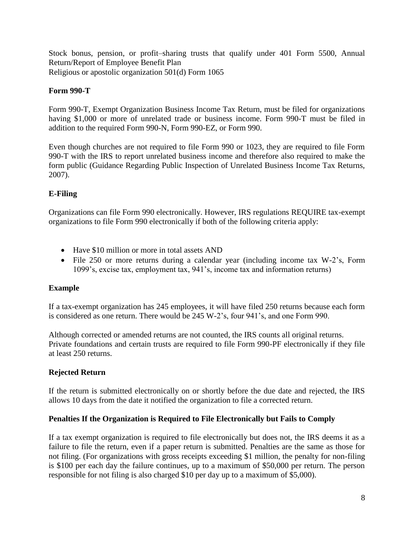Stock bonus, pension, or profit–sharing trusts that qualify under 401 Form 5500, Annual Return/Report of Employee Benefit Plan Religious or apostolic organization 501(d) Form 1065

# **Form 990-T**

Form 990-T, Exempt Organization Business Income Tax Return, must be filed for organizations having \$1,000 or more of unrelated trade or business income. Form 990-T must be filed in addition to the required Form 990-N, Form 990-EZ, or Form 990.

Even though churches are not required to file Form 990 or 1023, they are required to file Form 990-T with the IRS to report unrelated business income and therefore also required to make the form public (Guidance Regarding Public Inspection of Unrelated Business Income Tax Returns, 2007).

# **E-Filing**

Organizations can file Form 990 electronically. However, IRS regulations REQUIRE tax-exempt organizations to file Form 990 electronically if both of the following criteria apply:

- Have \$10 million or more in total assets AND
- File 250 or more returns during a calendar year (including income tax W-2's, Form 1099's, excise tax, employment tax, 941's, income tax and information returns)

## **Example**

If a tax-exempt organization has 245 employees, it will have filed 250 returns because each form is considered as one return. There would be 245 W-2's, four 941's, and one Form 990.

Although corrected or amended returns are not counted, the IRS counts all original returns. Private foundations and certain trusts are required to file Form 990-PF electronically if they file at least 250 returns.

## **Rejected Return**

If the return is submitted electronically on or shortly before the due date and rejected, the IRS allows 10 days from the date it notified the organization to file a corrected return.

## **Penalties If the Organization is Required to File Electronically but Fails to Comply**

If a tax exempt organization is required to file electronically but does not, the IRS deems it as a failure to file the return, even if a paper return is submitted. Penalties are the same as those for not filing. (For organizations with gross receipts exceeding \$1 million, the penalty for non-filing is \$100 per each day the failure continues, up to a maximum of \$50,000 per return. The person responsible for not filing is also charged \$10 per day up to a maximum of \$5,000).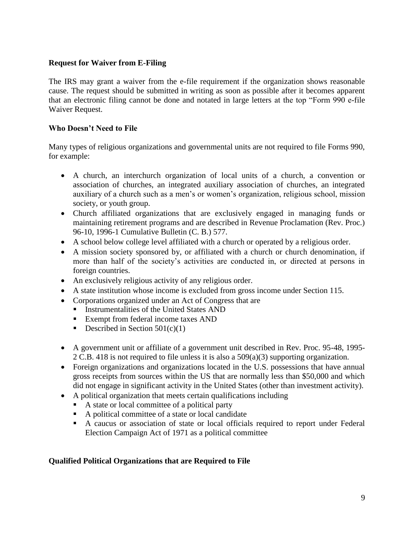## **Request for Waiver from E-Filing**

The IRS may grant a waiver from the e-file requirement if the organization shows reasonable cause. The request should be submitted in writing as soon as possible after it becomes apparent that an electronic filing cannot be done and notated in large letters at the top "Form 990 e-file Waiver Request.

#### **Who Doesn't Need to File**

Many types of religious organizations and governmental units are not required to file Forms 990, for example:

- A church, an interchurch organization of local units of a church, a convention or association of churches, an integrated auxiliary association of churches, an integrated auxiliary of a church such as a men's or women's organization, religious school, mission society, or youth group.
- Church affiliated organizations that are exclusively engaged in managing funds or maintaining retirement programs and are described in Revenue Proclamation (Rev. Proc.) 96-10, 1996-1 Cumulative Bulletin (C. B.) 577.
- A school below college level affiliated with a church or operated by a religious order.
- A mission society sponsored by, or affiliated with a church or church denomination, if more than half of the society's activities are conducted in, or directed at persons in foreign countries.
- An exclusively religious activity of any religious order.
- A state institution whose income is excluded from gross income under Section 115.
- Corporations organized under an Act of Congress that are
	- Instrumentalities of the United States AND
		- **Exempt from federal income taxes AND**
		- Described in Section  $501(c)(1)$
- A government unit or affiliate of a government unit described in Rev. Proc. 95-48, 1995- 2 C.B. 418 is not required to file unless it is also a 509(a)(3) supporting organization.
- Foreign organizations and organizations located in the U.S. possessions that have annual gross receipts from sources within the US that are normally less than \$50,000 and which did not engage in significant activity in the United States (other than investment activity).
- A political organization that meets certain qualifications including
	- A state or local committee of a political party
	- A political committee of a state or local candidate
	- A caucus or association of state or local officials required to report under Federal Election Campaign Act of 1971 as a political committee

#### **Qualified Political Organizations that are Required to File**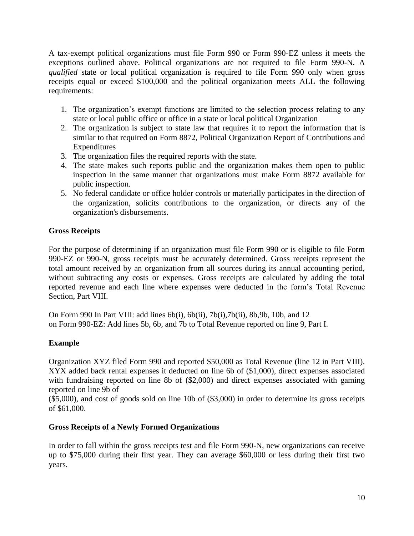A tax-exempt political organizations must file Form 990 or Form 990-EZ unless it meets the exceptions outlined above. Political organizations are not required to file Form 990-N. A *qualified* state or local political organization is required to file Form 990 only when gross receipts equal or exceed \$100,000 and the political organization meets ALL the following requirements:

- 1. The organization's exempt functions are limited to the selection process relating to any state or local public office or office in a state or local political Organization
- 2. The organization is subject to state law that requires it to report the information that is similar to that required on Form 8872, Political Organization Report of Contributions and Expenditures
- 3. The organization files the required reports with the state.
- 4. The state makes such reports public and the organization makes them open to public inspection in the same manner that organizations must make Form 8872 available for public inspection.
- 5. No federal candidate or office holder controls or materially participates in the direction of the organization, solicits contributions to the organization, or directs any of the organization's disbursements.

# **Gross Receipts**

For the purpose of determining if an organization must file Form 990 or is eligible to file Form 990-EZ or 990-N, gross receipts must be accurately determined. Gross receipts represent the total amount received by an organization from all sources during its annual accounting period, without subtracting any costs or expenses. Gross receipts are calculated by adding the total reported revenue and each line where expenses were deducted in the form's Total Revenue Section, Part VIII.

On Form 990 In Part VIII: add lines 6b(i), 6b(ii), 7b(i),7b(ii), 8b,9b, 10b, and 12 on Form 990-EZ: Add lines 5b, 6b, and 7b to Total Revenue reported on line 9, Part I.

## **Example**

Organization XYZ filed Form 990 and reported \$50,000 as Total Revenue (line 12 in Part VIII). XYX added back rental expenses it deducted on line 6b of (\$1,000), direct expenses associated with fundraising reported on line 8b of (\$2,000) and direct expenses associated with gaming reported on line 9b of

(\$5,000), and cost of goods sold on line 10b of (\$3,000) in order to determine its gross receipts of \$61,000.

## **Gross Receipts of a Newly Formed Organizations**

In order to fall within the gross receipts test and file Form 990-N, new organizations can receive up to \$75,000 during their first year. They can average \$60,000 or less during their first two years.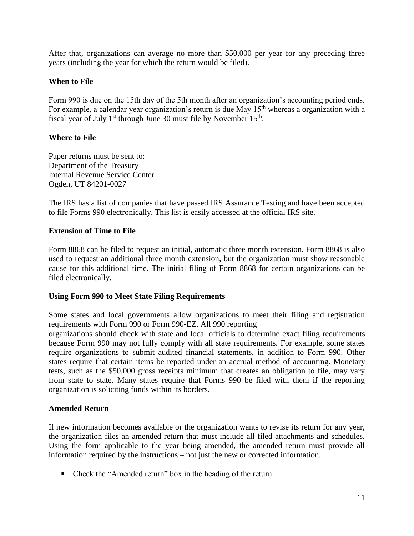After that, organizations can average no more than \$50,000 per year for any preceding three years (including the year for which the return would be filed).

#### **When to File**

Form 990 is due on the 15th day of the 5th month after an organization's accounting period ends. For example, a calendar year organization's return is due May  $15<sup>th</sup>$  whereas a organization with a fiscal year of July  $1<sup>st</sup>$  through June 30 must file by November  $15<sup>th</sup>$ .

#### **Where to File**

Paper returns must be sent to: Department of the Treasury Internal Revenue Service Center Ogden, UT 84201-0027

The IRS has a list of companies that have passed IRS Assurance Testing and have been accepted to file Forms 990 electronically. This list is easily accessed at the official IRS site.

#### **Extension of Time to File**

Form 8868 can be filed to request an initial, automatic three month extension. Form 8868 is also used to request an additional three month extension, but the organization must show reasonable cause for this additional time. The initial filing of Form 8868 for certain organizations can be filed electronically.

#### **Using Form 990 to Meet State Filing Requirements**

Some states and local governments allow organizations to meet their filing and registration requirements with Form 990 or Form 990-EZ. All 990 reporting

organizations should check with state and local officials to determine exact filing requirements because Form 990 may not fully comply with all state requirements. For example, some states require organizations to submit audited financial statements, in addition to Form 990. Other states require that certain items be reported under an accrual method of accounting. Monetary tests, such as the \$50,000 gross receipts minimum that creates an obligation to file, may vary from state to state. Many states require that Forms 990 be filed with them if the reporting organization is soliciting funds within its borders.

#### **Amended Return**

If new information becomes available or the organization wants to revise its return for any year, the organization files an amended return that must include all filed attachments and schedules. Using the form applicable to the year being amended, the amended return must provide all information required by the instructions – not just the new or corrected information.

■ Check the "Amended return" box in the heading of the return.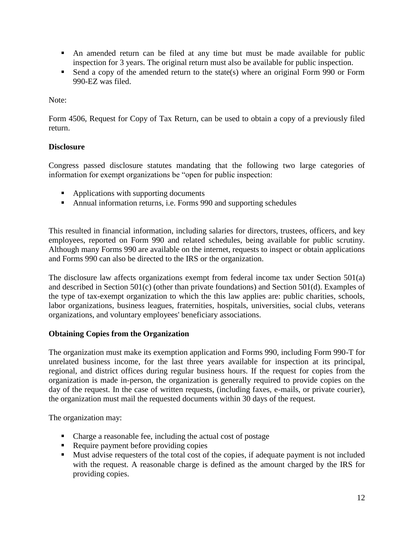- An amended return can be filed at any time but must be made available for public inspection for 3 years. The original return must also be available for public inspection.
- Send a copy of the amended return to the state(s) where an original Form 990 or Form 990-EZ was filed.

# Note:

Form 4506, Request for Copy of Tax Return, can be used to obtain a copy of a previously filed return.

# **Disclosure**

Congress passed disclosure statutes mandating that the following two large categories of information for exempt organizations be "open for public inspection:

- Applications with supporting documents
- Annual information returns, i.e. Forms 990 and supporting schedules

This resulted in financial information, including salaries for directors, trustees, officers, and key employees, reported on Form 990 and related schedules, being available for public scrutiny. Although many Forms 990 are available on the internet, requests to inspect or obtain applications and Forms 990 can also be directed to the IRS or the organization.

The disclosure law affects organizations exempt from federal income tax under Section 501(a) and described in Section 501(c) (other than private foundations) and Section 501(d). Examples of the type of tax-exempt organization to which the this law applies are: public charities, schools, labor organizations, business leagues, fraternities, hospitals, universities, social clubs, veterans organizations, and voluntary employees' beneficiary associations.

## **Obtaining Copies from the Organization**

The organization must make its exemption application and Forms 990, including Form 990-T for unrelated business income, for the last three years available for inspection at its principal, regional, and district offices during regular business hours. If the request for copies from the organization is made in-person, the organization is generally required to provide copies on the day of the request. In the case of written requests, (including faxes, e-mails, or private courier), the organization must mail the requested documents within 30 days of the request.

The organization may:

- Charge a reasonable fee, including the actual cost of postage
- Require payment before providing copies
- Must advise requesters of the total cost of the copies, if adequate payment is not included with the request. A reasonable charge is defined as the amount charged by the IRS for providing copies.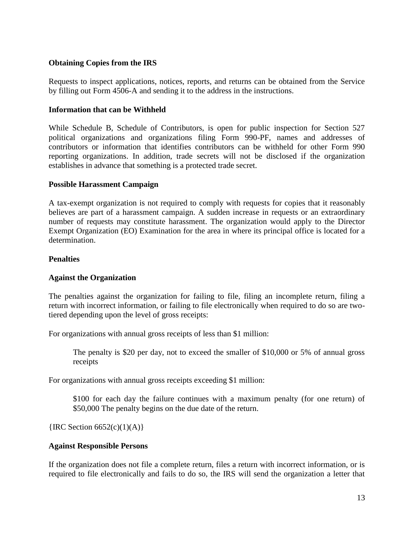#### **Obtaining Copies from the IRS**

Requests to inspect applications, notices, reports, and returns can be obtained from the Service by filling out Form 4506-A and sending it to the address in the instructions.

#### **Information that can be Withheld**

While Schedule B, Schedule of Contributors, is open for public inspection for Section 527 political organizations and organizations filing Form 990-PF, names and addresses of contributors or information that identifies contributors can be withheld for other Form 990 reporting organizations. In addition, trade secrets will not be disclosed if the organization establishes in advance that something is a protected trade secret.

#### **Possible Harassment Campaign**

A tax-exempt organization is not required to comply with requests for copies that it reasonably believes are part of a harassment campaign. A sudden increase in requests or an extraordinary number of requests may constitute harassment. The organization would apply to the Director Exempt Organization (EO) Examination for the area in where its principal office is located for a determination.

#### **Penalties**

#### **Against the Organization**

The penalties against the organization for failing to file, filing an incomplete return, filing a return with incorrect information, or failing to file electronically when required to do so are twotiered depending upon the level of gross receipts:

For organizations with annual gross receipts of less than \$1 million:

The penalty is \$20 per day, not to exceed the smaller of \$10,000 or 5% of annual gross receipts

For organizations with annual gross receipts exceeding \$1 million:

\$100 for each day the failure continues with a maximum penalty (for one return) of \$50,000 The penalty begins on the due date of the return.

 ${[IRC Section 6652(c)(1)(A)]}$ 

#### **Against Responsible Persons**

If the organization does not file a complete return, files a return with incorrect information, or is required to file electronically and fails to do so, the IRS will send the organization a letter that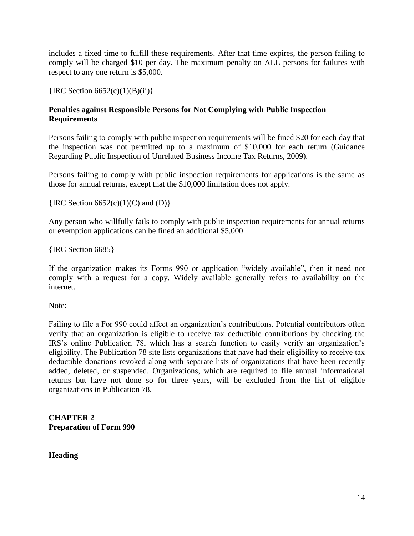includes a fixed time to fulfill these requirements. After that time expires, the person failing to comply will be charged \$10 per day. The maximum penalty on ALL persons for failures with respect to any one return is \$5,000.

 ${IRC Section 6652(c)(1)(B)(ii)}$ 

# **Penalties against Responsible Persons for Not Complying with Public Inspection Requirements**

Persons failing to comply with public inspection requirements will be fined \$20 for each day that the inspection was not permitted up to a maximum of \$10,000 for each return (Guidance Regarding Public Inspection of Unrelated Business Income Tax Returns, 2009).

Persons failing to comply with public inspection requirements for applications is the same as those for annual returns, except that the \$10,000 limitation does not apply.

 ${IRC}$  Section 6652(c)(1)(C) and (D) $}$ 

Any person who willfully fails to comply with public inspection requirements for annual returns or exemption applications can be fined an additional \$5,000.

{IRC Section 6685}

If the organization makes its Forms 990 or application "widely available", then it need not comply with a request for a copy. Widely available generally refers to availability on the internet.

Note:

Failing to file a For 990 could affect an organization's contributions. Potential contributors often verify that an organization is eligible to receive tax deductible contributions by checking the IRS's online Publication 78, which has a search function to easily verify an organization's eligibility. The Publication 78 site lists organizations that have had their eligibility to receive tax deductible donations revoked along with separate lists of organizations that have been recently added, deleted, or suspended. Organizations, which are required to file annual informational returns but have not done so for three years, will be excluded from the list of eligible organizations in Publication 78.

**CHAPTER 2 Preparation of Form 990**

**Heading**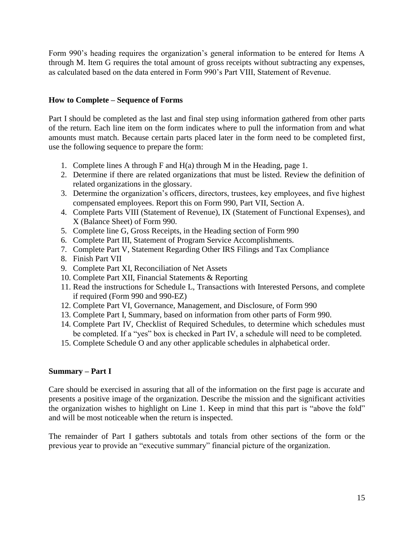Form 990's heading requires the organization's general information to be entered for Items A through M. Item G requires the total amount of gross receipts without subtracting any expenses, as calculated based on the data entered in Form 990's Part VIII, Statement of Revenue.

## **How to Complete – Sequence of Forms**

Part I should be completed as the last and final step using information gathered from other parts of the return. Each line item on the form indicates where to pull the information from and what amounts must match. Because certain parts placed later in the form need to be completed first, use the following sequence to prepare the form:

- 1. Complete lines A through F and H(a) through M in the Heading, page 1.
- 2. Determine if there are related organizations that must be listed. Review the definition of related organizations in the glossary.
- 3. Determine the organization's officers, directors, trustees, key employees, and five highest compensated employees. Report this on Form 990, Part VII, Section A.
- 4. Complete Parts VIII (Statement of Revenue), IX (Statement of Functional Expenses), and X (Balance Sheet) of Form 990.
- 5. Complete line G, Gross Receipts, in the Heading section of Form 990
- 6. Complete Part III, Statement of Program Service Accomplishments.
- 7. Complete Part V, Statement Regarding Other IRS Filings and Tax Compliance
- 8. Finish Part VII
- 9. Complete Part XI, Reconciliation of Net Assets
- 10. Complete Part XII, Financial Statements & Reporting
- 11. Read the instructions for Schedule L, Transactions with Interested Persons, and complete if required (Form 990 and 990-EZ)
- 12. Complete Part VI, Governance, Management, and Disclosure, of Form 990
- 13. Complete Part I, Summary, based on information from other parts of Form 990.
- 14. Complete Part IV, Checklist of Required Schedules, to determine which schedules must be completed. If a "yes" box is checked in Part IV, a schedule will need to be completed.
- 15. Complete Schedule O and any other applicable schedules in alphabetical order.

# **Summary – Part I**

Care should be exercised in assuring that all of the information on the first page is accurate and presents a positive image of the organization. Describe the mission and the significant activities the organization wishes to highlight on Line 1. Keep in mind that this part is "above the fold" and will be most noticeable when the return is inspected.

The remainder of Part I gathers subtotals and totals from other sections of the form or the previous year to provide an "executive summary" financial picture of the organization.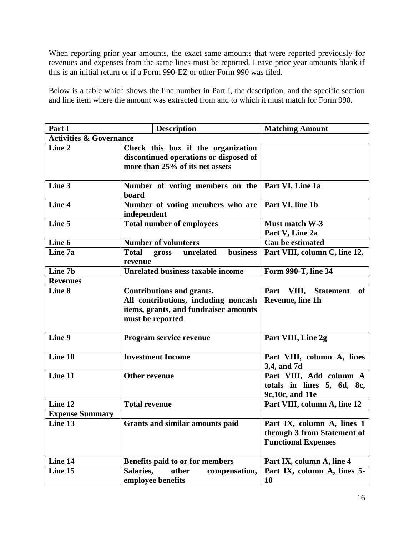When reporting prior year amounts, the exact same amounts that were reported previously for revenues and expenses from the same lines must be reported. Leave prior year amounts blank if this is an initial return or if a Form 990-EZ or other Form 990 was filed.

Below is a table which shows the line number in Part I, the description, and the specific section and line item where the amount was extracted from and to which it must match for Form 990.

| Part I                             | <b>Description</b>                                                                                                                    | <b>Matching Amount</b>                                                                  |  |  |
|------------------------------------|---------------------------------------------------------------------------------------------------------------------------------------|-----------------------------------------------------------------------------------------|--|--|
| <b>Activities &amp; Governance</b> |                                                                                                                                       |                                                                                         |  |  |
| Line 2                             | Check this box if the organization<br>discontinued operations or disposed of<br>more than 25% of its net assets                       |                                                                                         |  |  |
| Line 3                             | Number of voting members on the<br>board                                                                                              | Part VI, Line 1a                                                                        |  |  |
| Line 4                             | Number of voting members who are<br>independent                                                                                       | Part VI, line 1b                                                                        |  |  |
| Line 5                             | <b>Total number of employees</b>                                                                                                      | Must match W-3<br>Part V, Line 2a                                                       |  |  |
| Line 6                             | <b>Number of volunteers</b>                                                                                                           | <b>Can be estimated</b>                                                                 |  |  |
| Line 7a                            | <b>Total</b><br>unrelated<br>business<br>gross<br>revenue                                                                             | Part VIII, column C, line 12.                                                           |  |  |
| Line 7b                            | <b>Unrelated business taxable income</b>                                                                                              | Form 990-T, line 34                                                                     |  |  |
| <b>Revenues</b>                    |                                                                                                                                       |                                                                                         |  |  |
| Line 8                             | <b>Contributions and grants.</b><br>All contributions, including noncash<br>items, grants, and fundraiser amounts<br>must be reported | Part VIII, Statement<br>of 1<br>Revenue, line 1h                                        |  |  |
| Line 9                             | Program service revenue                                                                                                               | Part VIII, Line 2g                                                                      |  |  |
| Line 10                            | <b>Investment Income</b>                                                                                                              | Part VIII, column A, lines<br>3,4, and 7d                                               |  |  |
| Line 11                            | <b>Other revenue</b>                                                                                                                  | Part VIII, Add column A<br>totals in lines 5, 6d, 8c,<br>9c, 10c, and 11e               |  |  |
| Line 12                            | <b>Total revenue</b>                                                                                                                  | Part VIII, column A, line 12                                                            |  |  |
| <b>Expense Summary</b>             |                                                                                                                                       |                                                                                         |  |  |
| Line 13                            | Grants and similar amounts paid                                                                                                       | Part IX, column A, lines 1<br>through 3 from Statement of<br><b>Functional Expenses</b> |  |  |
| Line 14                            | Benefits paid to or for members                                                                                                       | Part IX, column A, line 4                                                               |  |  |
| Line 15                            | Salaries,<br>compensation,<br>other<br>employee benefits                                                                              | Part IX, column A, lines 5-<br>10                                                       |  |  |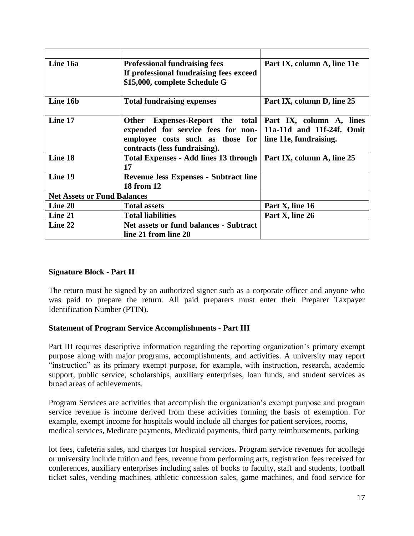| Line 16a                           | <b>Professional fundraising fees</b>                               | Part IX, column A, line 11e |
|------------------------------------|--------------------------------------------------------------------|-----------------------------|
|                                    | If professional fundraising fees exceed                            |                             |
|                                    | \$15,000, complete Schedule G                                      |                             |
|                                    |                                                                    |                             |
| Line 16b                           | <b>Total fundraising expenses</b>                                  | Part IX, column D, line 25  |
|                                    |                                                                    |                             |
| Line 17                            | Expenses-Report the total Part IX, column A, lines<br><b>Other</b> |                             |
|                                    | expended for service fees for non- 11a-11d and 11f-24f. Omit       |                             |
|                                    | employee costs such as those for                                   | line 11e, fundraising.      |
|                                    | contracts (less fundraising).                                      |                             |
| Line 18                            | Total Expenses - Add lines 13 through                              | Part IX, column A, line 25  |
|                                    | 17                                                                 |                             |
| Line 19                            | <b>Revenue less Expenses - Subtract line</b>                       |                             |
|                                    | <b>18 from 12</b>                                                  |                             |
| <b>Net Assets or Fund Balances</b> |                                                                    |                             |
| Line 20                            | <b>Total assets</b>                                                | Part X, line 16             |
| Line 21                            | <b>Total liabilities</b>                                           | Part X, line 26             |
| Line 22                            | Net assets or fund balances - Subtract                             |                             |
|                                    | line 21 from line 20                                               |                             |

## **Signature Block - Part II**

The return must be signed by an authorized signer such as a corporate officer and anyone who was paid to prepare the return. All paid preparers must enter their Preparer Taxpayer Identification Number (PTIN).

#### **Statement of Program Service Accomplishments - Part III**

Part III requires descriptive information regarding the reporting organization's primary exempt purpose along with major programs, accomplishments, and activities. A university may report "instruction" as its primary exempt purpose, for example, with instruction, research, academic support, public service, scholarships, auxiliary enterprises, loan funds, and student services as broad areas of achievements.

Program Services are activities that accomplish the organization's exempt purpose and program service revenue is income derived from these activities forming the basis of exemption. For example, exempt income for hospitals would include all charges for patient services, rooms, medical services, Medicare payments, Medicaid payments, third party reimbursements, parking

lot fees, cafeteria sales, and charges for hospital services. Program service revenues for acollege or university include tuition and fees, revenue from performing arts, registration fees received for conferences, auxiliary enterprises including sales of books to faculty, staff and students, football ticket sales, vending machines, athletic concession sales, game machines, and food service for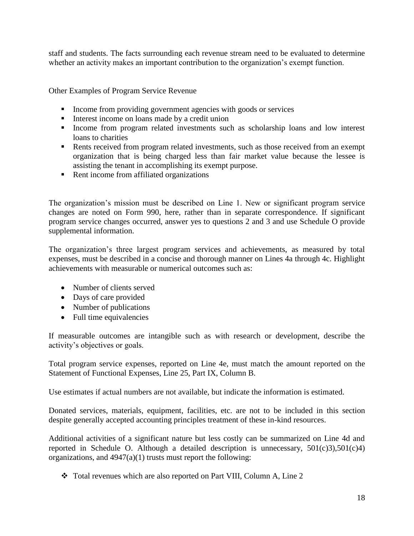staff and students. The facts surrounding each revenue stream need to be evaluated to determine whether an activity makes an important contribution to the organization's exempt function.

Other Examples of Program Service Revenue

- Income from providing government agencies with goods or services
- Interest income on loans made by a credit union
- Income from program related investments such as scholarship loans and low interest loans to charities
- Rents received from program related investments, such as those received from an exempt organization that is being charged less than fair market value because the lessee is assisting the tenant in accomplishing its exempt purpose.
- Rent income from affiliated organizations

The organization's mission must be described on Line 1. New or significant program service changes are noted on Form 990, here, rather than in separate correspondence. If significant program service changes occurred, answer yes to questions 2 and 3 and use Schedule O provide supplemental information.

The organization's three largest program services and achievements, as measured by total expenses, must be described in a concise and thorough manner on Lines 4a through 4c. Highlight achievements with measurable or numerical outcomes such as:

- Number of clients served
- Days of care provided
- Number of publications
- Full time equivalencies

If measurable outcomes are intangible such as with research or development, describe the activity's objectives or goals.

Total program service expenses, reported on Line 4e, must match the amount reported on the Statement of Functional Expenses, Line 25, Part IX, Column B.

Use estimates if actual numbers are not available, but indicate the information is estimated.

Donated services, materials, equipment, facilities, etc. are not to be included in this section despite generally accepted accounting principles treatment of these in-kind resources.

Additional activities of a significant nature but less costly can be summarized on Line 4d and reported in Schedule O. Although a detailed description is unnecessary,  $501(c)3$ ,  $501(c)4$ ) organizations, and  $4947(a)(1)$  trusts must report the following:

Total revenues which are also reported on Part VIII, Column A, Line 2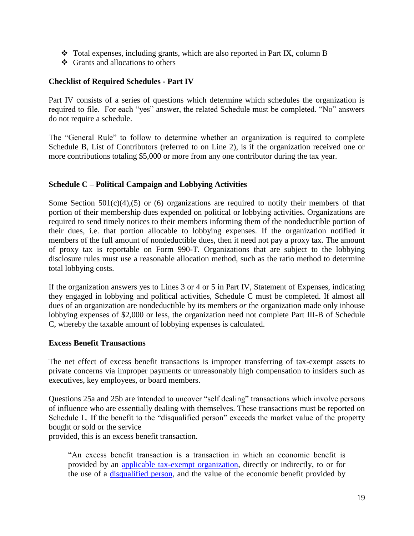- $\div$  Total expenses, including grants, which are also reported in Part IX, column B
- $\triangleleft$  Grants and allocations to others

#### **Checklist of Required Schedules - Part IV**

Part IV consists of a series of questions which determine which schedules the organization is required to file. For each "yes" answer, the related Schedule must be completed. "No" answers do not require a schedule.

The "General Rule" to follow to determine whether an organization is required to complete Schedule B, List of Contributors (referred to on Line 2), is if the organization received one or more contributions totaling \$5,000 or more from any one contributor during the tax year.

#### **Schedule C – Political Campaign and Lobbying Activities**

Some Section  $501(c)(4)$ , (5) or (6) organizations are required to notify their members of that portion of their membership dues expended on political or lobbying activities. Organizations are required to send timely notices to their members informing them of the nondeductible portion of their dues, i.e. that portion allocable to lobbying expenses. If the organization notified it members of the full amount of nondeductible dues, then it need not pay a proxy tax. The amount of proxy tax is reportable on Form 990-T. Organizations that are subject to the lobbying disclosure rules must use a reasonable allocation method, such as the ratio method to determine total lobbying costs.

If the organization answers yes to Lines 3 or 4 or 5 in Part IV, Statement of Expenses, indicating they engaged in lobbying and political activities, Schedule C must be completed. If almost all dues of an organization are nondeductible by its members *or* the organization made only inhouse lobbying expenses of \$2,000 or less, the organization need not complete Part III-B of Schedule C, whereby the taxable amount of lobbying expenses is calculated.

#### **Excess Benefit Transactions**

The net effect of excess benefit transactions is improper transferring of tax-exempt assets to private concerns via improper payments or unreasonably high compensation to insiders such as executives, key employees, or board members.

Questions 25a and 25b are intended to uncover "self dealing" transactions which involve persons of influence who are essentially dealing with themselves. These transactions must be reported on Schedule L. If the benefit to the "disqualified person" exceeds the market value of the property bought or sold or the service

provided, this is an excess benefit transaction.

"An excess benefit transaction is a transaction in which an economic benefit is provided by an [applicable tax-exempt organization,](http://www.irs.gov/charities/charitable/article/0,,id=154668,00.html) directly or indirectly, to or for the use of a [disqualified person,](http://www.irs.gov/charities/charitable/article/0,,id=173697,00.html) and the value of the economic benefit provided by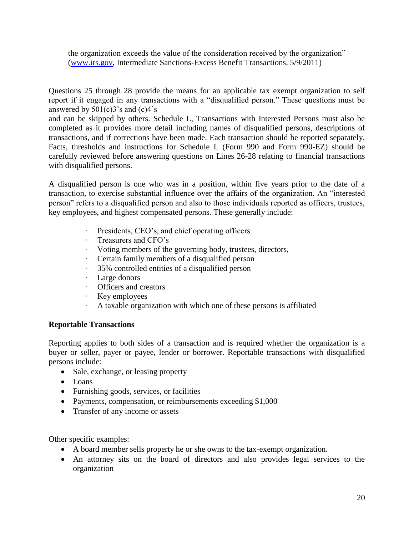the organization exceeds the value of the consideration received by the organization" [\(www.irs.gov,](http://www.irs.gov/) Intermediate Sanctions-Excess Benefit Transactions, 5/9/2011)

Questions 25 through 28 provide the means for an applicable tax exempt organization to self report if it engaged in any transactions with a "disqualified person." These questions must be answered by  $501(c)3$ 's and  $(c)4$ 's

and can be skipped by others. Schedule L, Transactions with Interested Persons must also be completed as it provides more detail including names of disqualified persons, descriptions of transactions, and if corrections have been made. Each transaction should be reported separately. Facts, thresholds and instructions for Schedule L (Form 990 and Form 990-EZ) should be carefully reviewed before answering questions on Lines 26-28 relating to financial transactions with disqualified persons.

A disqualified person is one who was in a position, within five years prior to the date of a transaction, to exercise substantial influence over the affairs of the organization. An "interested person" refers to a disqualified person and also to those individuals reported as officers, trustees, key employees, and highest compensated persons. These generally include:

- Presidents, CEO's, and chief operating officers
- · Treasurers and CFO's
- · Voting members of the governing body, trustees, directors,
- · Certain family members of a disqualified person
- · 35% controlled entities of a disqualified person
- · Large donors
- · Officers and creators
- · Key employees
- · A taxable organization with which one of these persons is affiliated

#### **Reportable Transactions**

Reporting applies to both sides of a transaction and is required whether the organization is a buyer or seller, payer or payee, lender or borrower. Reportable transactions with disqualified persons include:

- Sale, exchange, or leasing property
- Loans
- Furnishing goods, services, or facilities
- Payments, compensation, or reimbursements exceeding \$1,000
- Transfer of any income or assets

Other specific examples:

- A board member sells property he or she owns to the tax-exempt organization.
- An attorney sits on the board of directors and also provides legal services to the organization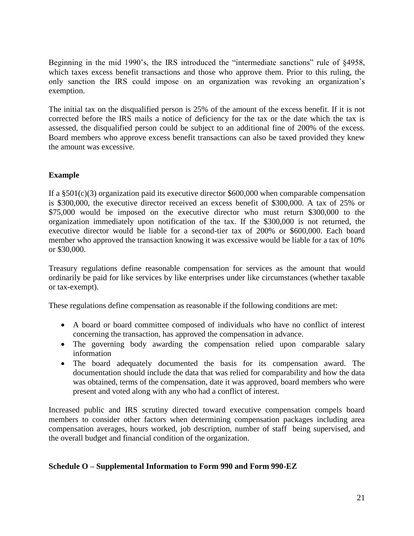Beginning in the mid 1990's, the IRS introduced the "intermediate sanctions" rule of §4958, which taxes excess benefit transactions and those who approve them. Prior to this ruling, the only sanction the IRS could impose on an organization was revoking an organization's exemption.

The initial tax on the disqualified person is 25% of the amount of the excess benefit. If it is not corrected before the IRS mails a notice of deficiency for the tax or the date which the tax is assessed, the disqualified person could be subject to an additional fine of 200% of the excess. Board members who approve excess benefit transactions can also be taxed provided they knew the amount was excessive.

# **Example**

If a  $\S 501(c)(3)$  organization paid its executive director \$600,000 when comparable compensation is \$300,000, the executive director received an excess benefit of \$300,000. A tax of 25% or \$75,000 would be imposed on the executive director who must return \$300,000 to the organization immediately upon notification of the tax. If the \$300,000 is not returned, the executive director would be liable for a second-tier tax of 200% or \$600,000. Each board member who approved the transaction knowing it was excessive would be liable for a tax of 10% or \$30,000.

Treasury regulations define reasonable compensation for services as the amount that would ordinarily be paid for like services by like enterprises under like circumstances (whether taxable or tax-exempt).

These regulations define compensation as reasonable if the following conditions are met:

- A board or board committee composed of individuals who have no conflict of interest concerning the transaction, has approved the compensation in advance.
- The governing body awarding the compensation relied upon comparable salary information
- The board adequately documented the basis for its compensation award. The documentation should include the data that was relied for comparability and how the data was obtained, terms of the compensation, date it was approved, board members who were present and voted along with any who had a conflict of interest.

Increased public and IRS scrutiny directed toward executive compensation compels board members to consider other factors when determining compensation packages including area compensation averages, hours worked, job description, number of staff being supervised, and the overall budget and financial condition of the organization.

## **Schedule O – Supplemental Information to Form 990 and Form 990-EZ**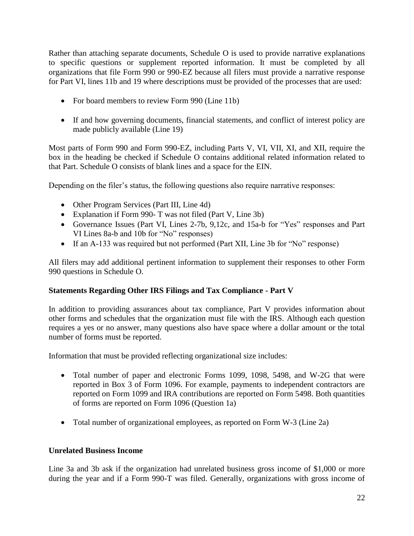Rather than attaching separate documents, Schedule O is used to provide narrative explanations to specific questions or supplement reported information. It must be completed by all organizations that file Form 990 or 990-EZ because all filers must provide a narrative response for Part VI, lines 11b and 19 where descriptions must be provided of the processes that are used:

- For board members to review Form 990 (Line 11b)
- If and how governing documents, financial statements, and conflict of interest policy are made publicly available (Line 19)

Most parts of Form 990 and Form 990-EZ, including Parts V, VI, VII, XI, and XII, require the box in the heading be checked if Schedule O contains additional related information related to that Part. Schedule O consists of blank lines and a space for the EIN.

Depending on the filer's status, the following questions also require narrative responses:

- Other Program Services (Part III, Line 4d)
- Explanation if Form 990- T was not filed (Part V, Line 3b)
- Governance Issues (Part VI, Lines 2-7b, 9,12c, and 15a-b for "Yes" responses and Part VI Lines 8a-b and 10b for "No" responses)
- If an A-133 was required but not performed (Part XII, Line 3b for "No" response)

All filers may add additional pertinent information to supplement their responses to other Form 990 questions in Schedule O.

# **Statements Regarding Other IRS Filings and Tax Compliance - Part V**

In addition to providing assurances about tax compliance, Part V provides information about other forms and schedules that the organization must file with the IRS. Although each question requires a yes or no answer, many questions also have space where a dollar amount or the total number of forms must be reported.

Information that must be provided reflecting organizational size includes:

- Total number of paper and electronic Forms 1099, 1098, 5498, and W-2G that were reported in Box 3 of Form 1096. For example, payments to independent contractors are reported on Form 1099 and IRA contributions are reported on Form 5498. Both quantities of forms are reported on Form 1096 (Question 1a)
- Total number of organizational employees, as reported on Form W-3 (Line 2a)

# **Unrelated Business Income**

Line 3a and 3b ask if the organization had unrelated business gross income of \$1,000 or more during the year and if a Form 990-T was filed. Generally, organizations with gross income of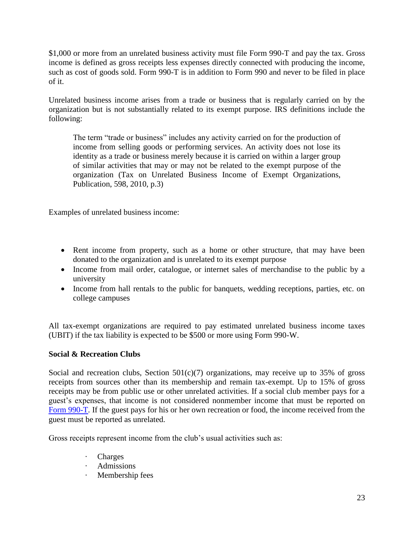\$1,000 or more from an unrelated business activity must file Form 990-T and pay the tax. Gross income is defined as gross receipts less expenses directly connected with producing the income, such as cost of goods sold. Form 990-T is in addition to Form 990 and never to be filed in place of it.

Unrelated business income arises from a trade or business that is regularly carried on by the organization but is not substantially related to its exempt purpose. IRS definitions include the following:

The term "trade or business" includes any activity carried on for the production of income from selling goods or performing services. An activity does not lose its identity as a trade or business merely because it is carried on within a larger group of similar activities that may or may not be related to the exempt purpose of the organization (Tax on Unrelated Business Income of Exempt Organizations, Publication, 598, 2010, p.3)

Examples of unrelated business income:

- Rent income from property, such as a home or other structure, that may have been donated to the organization and is unrelated to its exempt purpose
- Income from mail order, catalogue, or internet sales of merchandise to the public by a university
- Income from hall rentals to the public for banquets, wedding receptions, parties, etc. on college campuses

All tax-exempt organizations are required to pay estimated unrelated business income taxes (UBIT) if the tax liability is expected to be \$500 or more using Form 990-W.

## **Social & Recreation Clubs**

Social and recreation clubs, Section  $501(c)(7)$  organizations, may receive up to 35% of gross receipts from sources other than its membership and remain tax-exempt. Up to 15% of gross receipts may be from public use or other unrelated activities. If a social club member pays for a guest's expenses, that income is not considered nonmember income that must be reported on [Form 990-T.](http://www.irs.gov/pub/irs-pdf/f990t.pdf) If the guest pays for his or her own recreation or food, the income received from the guest must be reported as unrelated.

Gross receipts represent income from the club's usual activities such as:

- · Charges
- · Admissions
- · Membership fees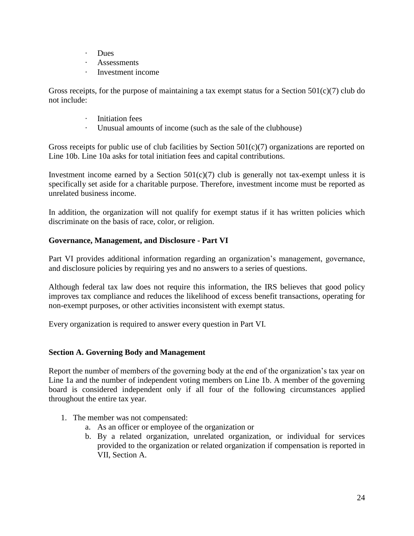- · Dues
- Assessments
- Investment income

Gross receipts, for the purpose of maintaining a tax exempt status for a Section  $501(c)(7)$  club do not include:

- Initiation fees
- · Unusual amounts of income (such as the sale of the clubhouse)

Gross receipts for public use of club facilities by Section 501(c)(7) organizations are reported on Line 10b. Line 10a asks for total initiation fees and capital contributions.

Investment income earned by a Section  $501(c)(7)$  club is generally not tax-exempt unless it is specifically set aside for a charitable purpose. Therefore, investment income must be reported as unrelated business income.

In addition, the organization will not qualify for exempt status if it has written policies which discriminate on the basis of race, color, or religion.

## **Governance, Management, and Disclosure - Part VI**

Part VI provides additional information regarding an organization's management, governance, and disclosure policies by requiring yes and no answers to a series of questions.

Although federal tax law does not require this information, the IRS believes that good policy improves tax compliance and reduces the likelihood of excess benefit transactions, operating for non-exempt purposes, or other activities inconsistent with exempt status.

Every organization is required to answer every question in Part VI.

## **Section A. Governing Body and Management**

Report the number of members of the governing body at the end of the organization's tax year on Line 1a and the number of independent voting members on Line 1b. A member of the governing board is considered independent only if all four of the following circumstances applied throughout the entire tax year.

- 1. The member was not compensated:
	- a. As an officer or employee of the organization or
	- b. By a related organization, unrelated organization, or individual for services provided to the organization or related organization if compensation is reported in VII, Section A.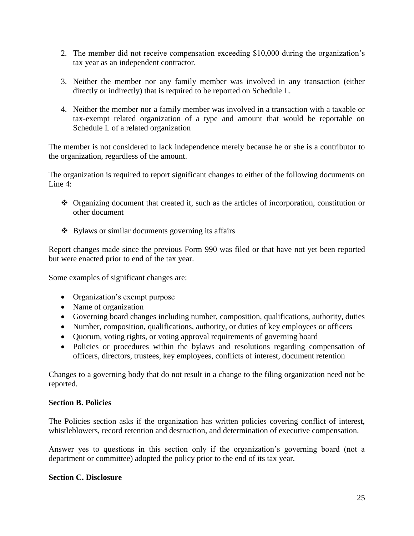- 2. The member did not receive compensation exceeding \$10,000 during the organization's tax year as an independent contractor.
- 3. Neither the member nor any family member was involved in any transaction (either directly or indirectly) that is required to be reported on Schedule L.
- 4. Neither the member nor a family member was involved in a transaction with a taxable or tax-exempt related organization of a type and amount that would be reportable on Schedule L of a related organization

The member is not considered to lack independence merely because he or she is a contributor to the organization, regardless of the amount.

The organization is required to report significant changes to either of the following documents on Line 4:

- Organizing document that created it, such as the articles of incorporation, constitution or other document
- Bylaws or similar documents governing its affairs

Report changes made since the previous Form 990 was filed or that have not yet been reported but were enacted prior to end of the tax year.

Some examples of significant changes are:

- Organization's exempt purpose
- Name of organization
- Governing board changes including number, composition, qualifications, authority, duties
- Number, composition, qualifications, authority, or duties of key employees or officers
- Ouorum, voting rights, or voting approval requirements of governing board
- Policies or procedures within the bylaws and resolutions regarding compensation of officers, directors, trustees, key employees, conflicts of interest, document retention

Changes to a governing body that do not result in a change to the filing organization need not be reported.

#### **Section B. Policies**

The Policies section asks if the organization has written policies covering conflict of interest, whistleblowers, record retention and destruction, and determination of executive compensation.

Answer yes to questions in this section only if the organization's governing board (not a department or committee) adopted the policy prior to the end of its tax year.

#### **Section C. Disclosure**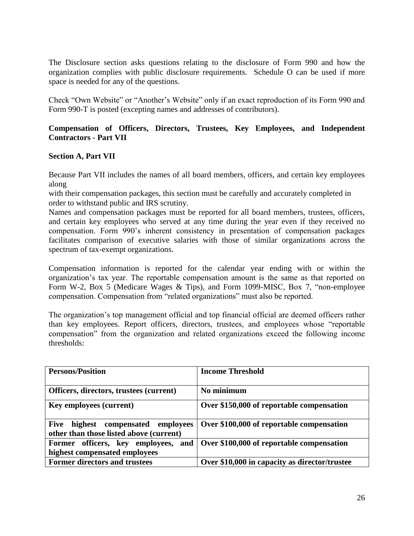The Disclosure section asks questions relating to the disclosure of Form 990 and how the organization complies with public disclosure requirements. Schedule O can be used if more space is needed for any of the questions.

Check "Own Website" or "Another's Website" only if an exact reproduction of its Form 990 and Form 990-T is posted (excepting names and addresses of contributors).

#### **Compensation of Officers, Directors, Trustees, Key Employees, and Independent Contractors - Part VII**

#### **Section A, Part VII**

Because Part VII includes the names of all board members, officers, and certain key employees along

with their compensation packages, this section must be carefully and accurately completed in order to withstand public and IRS scrutiny.

Names and compensation packages must be reported for all board members, trustees, officers, and certain key employees who served at any time during the year even if they received no compensation. Form 990's inherent consistency in presentation of compensation packages facilitates comparison of executive salaries with those of similar organizations across the spectrum of tax-exempt organizations.

Compensation information is reported for the calendar year ending with or within the organization's tax year. The reportable compensation amount is the same as that reported on Form W-2, Box 5 (Medicare Wages & Tips), and Form 1099-MISC, Box 7, "non-employee compensation. Compensation from "related organizations" must also be reported.

The organization's top management official and top financial official are deemed officers rather than key employees. Report officers, directors, trustees, and employees whose "reportable compensation" from the organization and related organizations exceed the following income thresholds:

| <b>Persons/Position</b>                                                                    | <b>Income Threshold</b>                       |
|--------------------------------------------------------------------------------------------|-----------------------------------------------|
| Officers, directors, trustees (current)                                                    | No minimum                                    |
| <b>Key employees (current)</b>                                                             | Over \$150,000 of reportable compensation     |
| highest<br><b>Five</b><br>compensated employees<br>other than those listed above (current) | Over \$100,000 of reportable compensation     |
| Former officers, key employees,<br>and<br>highest compensated employees                    | Over \$100,000 of reportable compensation     |
| <b>Former directors and trustees</b>                                                       | Over \$10,000 in capacity as director/trustee |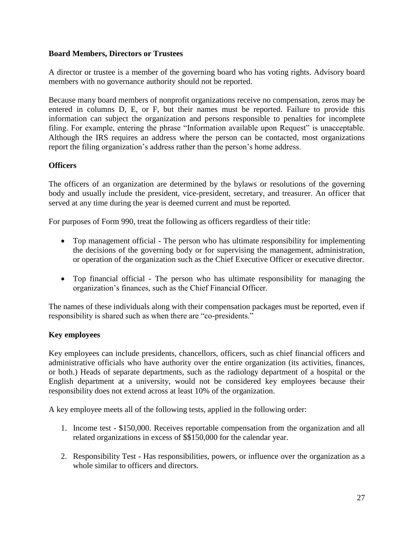# **Board Members, Directors or Trustees**

A director or trustee is a member of the governing board who has voting rights. Advisory board members with no governance authority should not be reported.

Because many board members of nonprofit organizations receive no compensation, zeros may be entered in columns D, E, or F, but their names must be reported. Failure to provide this information can subject the organization and persons responsible to penalties for incomplete filing. For example, entering the phrase "Information available upon Request" is unacceptable. Although the IRS requires an address where the person can be contacted, most organizations report the filing organization's address rather than the person's home address.

# **Officers**

The officers of an organization are determined by the bylaws or resolutions of the governing body and usually include the president, vice-president, secretary, and treasurer. An officer that served at any time during the year is deemed current and must be reported.

For purposes of Form 990, treat the following as officers regardless of their title:

- Top management official The person who has ultimate responsibility for implementing the decisions of the governing body or for supervising the management, administration, or operation of the organization such as the Chief Executive Officer or executive director.
- Top financial official The person who has ultimate responsibility for managing the organization's finances, such as the Chief Financial Officer.

The names of these individuals along with their compensation packages must be reported, even if responsibility is shared such as when there are "co-presidents."

# **Key employees**

Key employees can include presidents, chancellors, officers, such as chief financial officers and administrative officials who have authority over the entire organization (its activities, finances, or both.) Heads of separate departments, such as the radiology department of a hospital or the English department at a university, would not be considered key employees because their responsibility does not extend across at least 10% of the organization.

A key employee meets all of the following tests, applied in the following order:

- 1. Income test \$150,000. Receives reportable compensation from the organization and all related organizations in excess of \$\$150,000 for the calendar year.
- 2. Responsibility Test Has responsibilities, powers, or influence over the organization as a whole similar to officers and directors.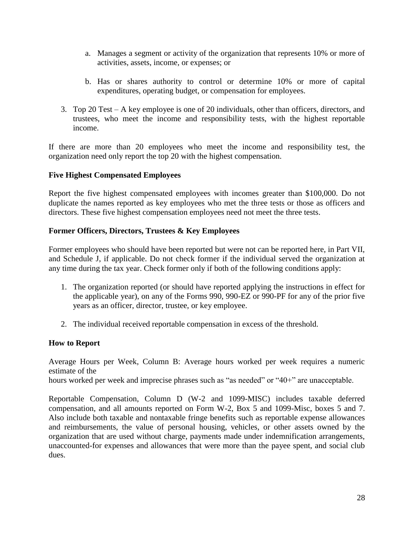- a. Manages a segment or activity of the organization that represents 10% or more of activities, assets, income, or expenses; or
- b. Has or shares authority to control or determine 10% or more of capital expenditures, operating budget, or compensation for employees.
- 3. Top 20 Test A key employee is one of 20 individuals, other than officers, directors, and trustees, who meet the income and responsibility tests, with the highest reportable income.

If there are more than 20 employees who meet the income and responsibility test, the organization need only report the top 20 with the highest compensation.

## **Five Highest Compensated Employees**

Report the five highest compensated employees with incomes greater than \$100,000. Do not duplicate the names reported as key employees who met the three tests or those as officers and directors. These five highest compensation employees need not meet the three tests.

## **Former Officers, Directors, Trustees & Key Employees**

Former employees who should have been reported but were not can be reported here, in Part VII, and Schedule J, if applicable. Do not check former if the individual served the organization at any time during the tax year. Check former only if both of the following conditions apply:

- 1. The organization reported (or should have reported applying the instructions in effect for the applicable year), on any of the Forms 990, 990-EZ or 990-PF for any of the prior five years as an officer, director, trustee, or key employee.
- 2. The individual received reportable compensation in excess of the threshold.

## **How to Report**

Average Hours per Week, Column B: Average hours worked per week requires a numeric estimate of the

hours worked per week and imprecise phrases such as "as needed" or "40+" are unacceptable.

Reportable Compensation, Column D (W-2 and 1099-MISC) includes taxable deferred compensation, and all amounts reported on Form W-2, Box 5 and 1099-Misc, boxes 5 and 7. Also include both taxable and nontaxable fringe benefits such as reportable expense allowances and reimbursements, the value of personal housing, vehicles, or other assets owned by the organization that are used without charge, payments made under indemnification arrangements, unaccounted-for expenses and allowances that were more than the payee spent, and social club dues.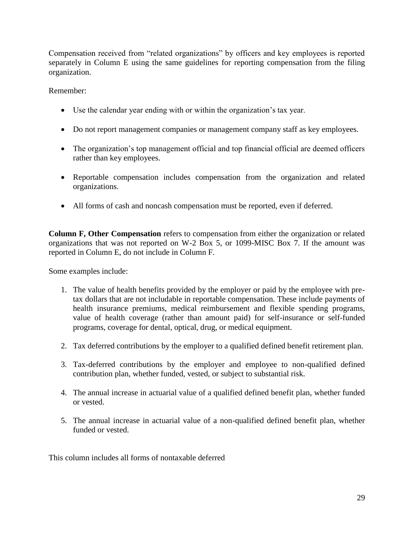Compensation received from "related organizations" by officers and key employees is reported separately in Column E using the same guidelines for reporting compensation from the filing organization.

Remember:

- Use the calendar year ending with or within the organization's tax year.
- Do not report management companies or management company staff as key employees.
- The organization's top management official and top financial official are deemed officers rather than key employees.
- Reportable compensation includes compensation from the organization and related organizations.
- All forms of cash and noncash compensation must be reported, even if deferred.

**Column F, Other Compensation** refers to compensation from either the organization or related organizations that was not reported on W-2 Box 5, or 1099-MISC Box 7. If the amount was reported in Column E, do not include in Column F.

Some examples include:

- 1. The value of health benefits provided by the employer or paid by the employee with pretax dollars that are not includable in reportable compensation. These include payments of health insurance premiums, medical reimbursement and flexible spending programs, value of health coverage (rather than amount paid) for self-insurance or self-funded programs, coverage for dental, optical, drug, or medical equipment.
- 2. Tax deferred contributions by the employer to a qualified defined benefit retirement plan.
- 3. Tax-deferred contributions by the employer and employee to non-qualified defined contribution plan, whether funded, vested, or subject to substantial risk.
- 4. The annual increase in actuarial value of a qualified defined benefit plan, whether funded or vested.
- 5. The annual increase in actuarial value of a non-qualified defined benefit plan, whether funded or vested.

This column includes all forms of nontaxable deferred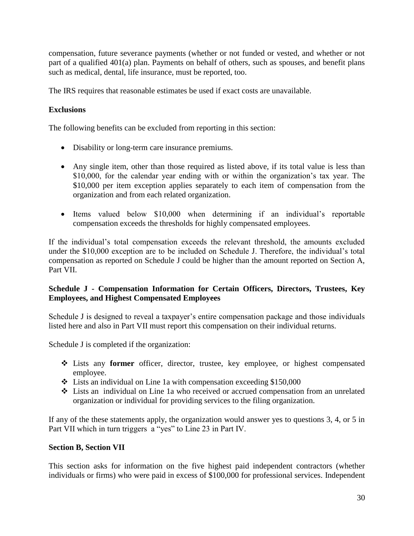compensation, future severance payments (whether or not funded or vested, and whether or not part of a qualified 401(a) plan. Payments on behalf of others, such as spouses, and benefit plans such as medical, dental, life insurance, must be reported, too.

The IRS requires that reasonable estimates be used if exact costs are unavailable.

# **Exclusions**

The following benefits can be excluded from reporting in this section:

- Disability or long-term care insurance premiums.
- Any single item, other than those required as listed above, if its total value is less than \$10,000, for the calendar year ending with or within the organization's tax year. The \$10,000 per item exception applies separately to each item of compensation from the organization and from each related organization.
- Items valued below \$10,000 when determining if an individual's reportable compensation exceeds the thresholds for highly compensated employees.

If the individual's total compensation exceeds the relevant threshold, the amounts excluded under the \$10,000 exception are to be included on Schedule J. Therefore, the individual's total compensation as reported on Schedule J could be higher than the amount reported on Section A, Part VII.

# **Schedule J - Compensation Information for Certain Officers, Directors, Trustees, Key Employees, and Highest Compensated Employees**

Schedule J is designed to reveal a taxpayer's entire compensation package and those individuals listed here and also in Part VII must report this compensation on their individual returns.

Schedule J is completed if the organization:

- Lists any **former** officer, director, trustee, key employee, or highest compensated employee.
- $\cdot$  Lists an individual on Line 1a with compensation exceeding \$150,000
- Lists an individual on Line 1a who received or accrued compensation from an unrelated organization or individual for providing services to the filing organization.

If any of the these statements apply, the organization would answer yes to questions 3, 4, or 5 in Part VII which in turn triggers a "yes" to Line 23 in Part IV.

## **Section B, Section VII**

This section asks for information on the five highest paid independent contractors (whether individuals or firms) who were paid in excess of \$100,000 for professional services. Independent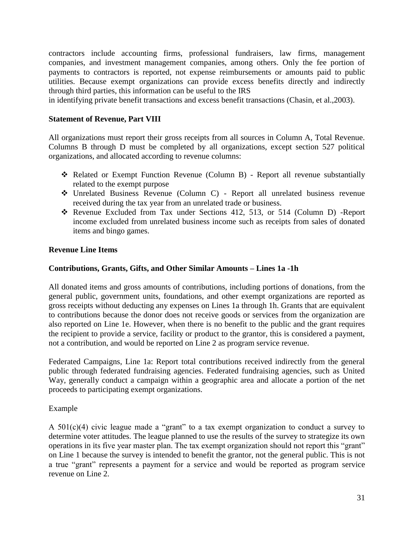contractors include accounting firms, professional fundraisers, law firms, management companies, and investment management companies, among others. Only the fee portion of payments to contractors is reported, not expense reimbursements or amounts paid to public utilities. Because exempt organizations can provide excess benefits directly and indirectly through third parties, this information can be useful to the IRS

in identifying private benefit transactions and excess benefit transactions (Chasin, et al.,2003).

#### **Statement of Revenue, Part VIII**

All organizations must report their gross receipts from all sources in Column A, Total Revenue. Columns B through D must be completed by all organizations, except section 527 political organizations, and allocated according to revenue columns:

- Related or Exempt Function Revenue (Column B) Report all revenue substantially related to the exempt purpose
- Unrelated Business Revenue (Column C) Report all unrelated business revenue received during the tax year from an unrelated trade or business.
- Revenue Excluded from Tax under Sections 412, 513, or 514 (Column D) -Report income excluded from unrelated business income such as receipts from sales of donated items and bingo games.

#### **Revenue Line Items**

#### **Contributions, Grants, Gifts, and Other Similar Amounts – Lines 1a -1h**

All donated items and gross amounts of contributions, including portions of donations, from the general public, government units, foundations, and other exempt organizations are reported as gross receipts without deducting any expenses on Lines 1a through 1h. Grants that are equivalent to contributions because the donor does not receive goods or services from the organization are also reported on Line 1e. However, when there is no benefit to the public and the grant requires the recipient to provide a service, facility or product to the grantor, this is considered a payment, not a contribution, and would be reported on Line 2 as program service revenue.

Federated Campaigns, Line 1a: Report total contributions received indirectly from the general public through federated fundraising agencies. Federated fundraising agencies, such as United Way, generally conduct a campaign within a geographic area and allocate a portion of the net proceeds to participating exempt organizations.

#### Example

A 501(c)(4) civic league made a "grant" to a tax exempt organization to conduct a survey to determine voter attitudes. The league planned to use the results of the survey to strategize its own operations in its five year master plan. The tax exempt organization should not report this "grant" on Line 1 because the survey is intended to benefit the grantor, not the general public. This is not a true "grant" represents a payment for a service and would be reported as program service revenue on Line 2.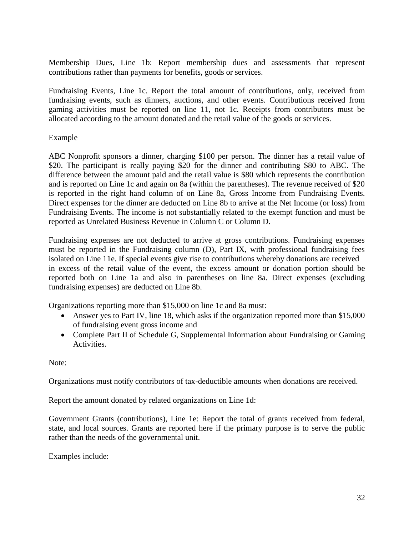Membership Dues, Line 1b: Report membership dues and assessments that represent contributions rather than payments for benefits, goods or services.

Fundraising Events, Line 1c. Report the total amount of contributions, only, received from fundraising events, such as dinners, auctions, and other events. Contributions received from gaming activities must be reported on line 11, not 1c. Receipts from contributors must be allocated according to the amount donated and the retail value of the goods or services.

#### Example

ABC Nonprofit sponsors a dinner, charging \$100 per person. The dinner has a retail value of \$20. The participant is really paying \$20 for the dinner and contributing \$80 to ABC. The difference between the amount paid and the retail value is \$80 which represents the contribution and is reported on Line 1c and again on 8a (within the parentheses). The revenue received of \$20 is reported in the right hand column of on Line 8a, Gross Income from Fundraising Events. Direct expenses for the dinner are deducted on Line 8b to arrive at the Net Income (or loss) from Fundraising Events. The income is not substantially related to the exempt function and must be reported as Unrelated Business Revenue in Column C or Column D.

Fundraising expenses are not deducted to arrive at gross contributions. Fundraising expenses must be reported in the Fundraising column (D), Part IX, with professional fundraising fees isolated on Line 11e. If special events give rise to contributions whereby donations are received in excess of the retail value of the event, the excess amount or donation portion should be reported both on Line 1a and also in parentheses on line 8a. Direct expenses (excluding fundraising expenses) are deducted on Line 8b.

Organizations reporting more than \$15,000 on line 1c and 8a must:

- Answer yes to Part IV, line 18, which asks if the organization reported more than \$15,000 of fundraising event gross income and
- Complete Part II of Schedule G, Supplemental Information about Fundraising or Gaming Activities.

Note:

Organizations must notify contributors of tax-deductible amounts when donations are received.

Report the amount donated by related organizations on Line 1d:

Government Grants (contributions), Line 1e: Report the total of grants received from federal, state, and local sources. Grants are reported here if the primary purpose is to serve the public rather than the needs of the governmental unit.

Examples include: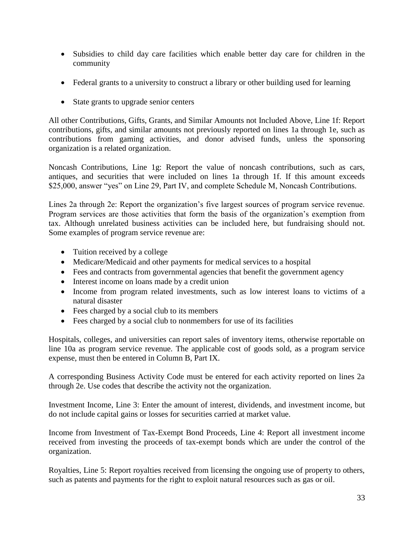- Subsidies to child day care facilities which enable better day care for children in the community
- Federal grants to a university to construct a library or other building used for learning
- State grants to upgrade senior centers

All other Contributions, Gifts, Grants, and Similar Amounts not Included Above, Line 1f: Report contributions, gifts, and similar amounts not previously reported on lines 1a through 1e, such as contributions from gaming activities, and donor advised funds, unless the sponsoring organization is a related organization.

Noncash Contributions, Line 1g: Report the value of noncash contributions, such as cars, antiques, and securities that were included on lines 1a through 1f. If this amount exceeds \$25,000, answer "yes" on Line 29, Part IV, and complete Schedule M, Noncash Contributions.

Lines 2a through 2e: Report the organization's five largest sources of program service revenue. Program services are those activities that form the basis of the organization's exemption from tax. Although unrelated business activities can be included here, but fundraising should not. Some examples of program service revenue are:

- Tuition received by a college
- Medicare/Medicaid and other payments for medical services to a hospital
- Fees and contracts from governmental agencies that benefit the government agency
- Interest income on loans made by a credit union
- Income from program related investments, such as low interest loans to victims of a natural disaster
- Fees charged by a social club to its members
- Fees charged by a social club to nonmembers for use of its facilities

Hospitals, colleges, and universities can report sales of inventory items, otherwise reportable on line 10a as program service revenue. The applicable cost of goods sold, as a program service expense, must then be entered in Column B, Part IX.

A corresponding Business Activity Code must be entered for each activity reported on lines 2a through 2e. Use codes that describe the activity not the organization.

Investment Income, Line 3: Enter the amount of interest, dividends, and investment income, but do not include capital gains or losses for securities carried at market value.

Income from Investment of Tax-Exempt Bond Proceeds, Line 4: Report all investment income received from investing the proceeds of tax-exempt bonds which are under the control of the organization.

Royalties, Line 5: Report royalties received from licensing the ongoing use of property to others, such as patents and payments for the right to exploit natural resources such as gas or oil.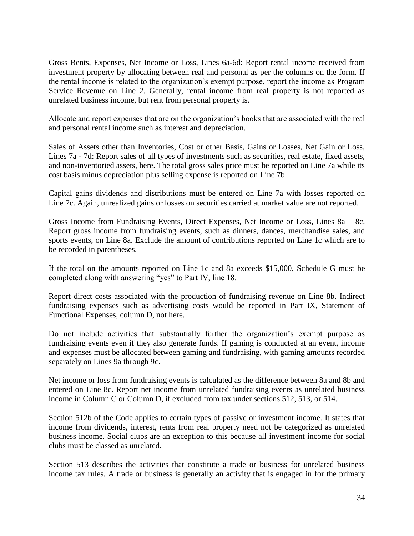Gross Rents, Expenses, Net Income or Loss, Lines 6a-6d: Report rental income received from investment property by allocating between real and personal as per the columns on the form. If the rental income is related to the organization's exempt purpose, report the income as Program Service Revenue on Line 2. Generally, rental income from real property is not reported as unrelated business income, but rent from personal property is.

Allocate and report expenses that are on the organization's books that are associated with the real and personal rental income such as interest and depreciation.

Sales of Assets other than Inventories, Cost or other Basis, Gains or Losses, Net Gain or Loss, Lines 7a - 7d: Report sales of all types of investments such as securities, real estate, fixed assets, and non-inventoried assets, here. The total gross sales price must be reported on Line 7a while its cost basis minus depreciation plus selling expense is reported on Line 7b.

Capital gains dividends and distributions must be entered on Line 7a with losses reported on Line 7c. Again, unrealized gains or losses on securities carried at market value are not reported.

Gross Income from Fundraising Events, Direct Expenses, Net Income or Loss, Lines 8a – 8c. Report gross income from fundraising events, such as dinners, dances, merchandise sales, and sports events, on Line 8a. Exclude the amount of contributions reported on Line 1c which are to be recorded in parentheses.

If the total on the amounts reported on Line 1c and 8a exceeds \$15,000, Schedule G must be completed along with answering "yes" to Part IV, line 18.

Report direct costs associated with the production of fundraising revenue on Line 8b. Indirect fundraising expenses such as advertising costs would be reported in Part IX, Statement of Functional Expenses, column D, not here.

Do not include activities that substantially further the organization's exempt purpose as fundraising events even if they also generate funds. If gaming is conducted at an event, income and expenses must be allocated between gaming and fundraising, with gaming amounts recorded separately on Lines 9a through 9c.

Net income or loss from fundraising events is calculated as the difference between 8a and 8b and entered on Line 8c. Report net income from unrelated fundraising events as unrelated business income in Column C or Column D, if excluded from tax under sections 512, 513, or 514.

Section 512b of the Code applies to certain types of passive or investment income. It states that income from dividends, interest, rents from real property need not be categorized as unrelated business income. Social clubs are an exception to this because all investment income for social clubs must be classed as unrelated.

Section 513 describes the activities that constitute a trade or business for unrelated business income tax rules. A trade or business is generally an activity that is engaged in for the primary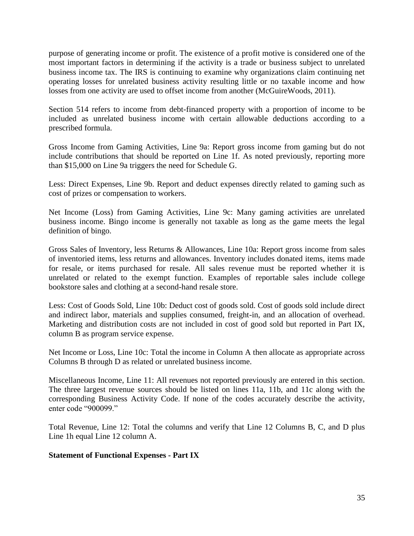purpose of generating income or profit. The existence of a profit motive is considered one of the most important factors in determining if the activity is a trade or business subject to unrelated business income tax. The IRS is continuing to examine why organizations claim continuing net operating losses for unrelated business activity resulting little or no taxable income and how losses from one activity are used to offset income from another (McGuireWoods, 2011).

Section 514 refers to income from debt-financed property with a proportion of income to be included as unrelated business income with certain allowable deductions according to a prescribed formula.

Gross Income from Gaming Activities, Line 9a: Report gross income from gaming but do not include contributions that should be reported on Line 1f. As noted previously, reporting more than \$15,000 on Line 9a triggers the need for Schedule G.

Less: Direct Expenses, Line 9b. Report and deduct expenses directly related to gaming such as cost of prizes or compensation to workers.

Net Income (Loss) from Gaming Activities, Line 9c: Many gaming activities are unrelated business income. Bingo income is generally not taxable as long as the game meets the legal definition of bingo.

Gross Sales of Inventory, less Returns & Allowances, Line 10a: Report gross income from sales of inventoried items, less returns and allowances. Inventory includes donated items, items made for resale, or items purchased for resale. All sales revenue must be reported whether it is unrelated or related to the exempt function. Examples of reportable sales include college bookstore sales and clothing at a second-hand resale store.

Less: Cost of Goods Sold, Line 10b: Deduct cost of goods sold. Cost of goods sold include direct and indirect labor, materials and supplies consumed, freight-in, and an allocation of overhead. Marketing and distribution costs are not included in cost of good sold but reported in Part IX, column B as program service expense.

Net Income or Loss, Line 10c: Total the income in Column A then allocate as appropriate across Columns B through D as related or unrelated business income.

Miscellaneous Income, Line 11: All revenues not reported previously are entered in this section. The three largest revenue sources should be listed on lines 11a, 11b, and 11c along with the corresponding Business Activity Code. If none of the codes accurately describe the activity, enter code "900099."

Total Revenue, Line 12: Total the columns and verify that Line 12 Columns B, C, and D plus Line 1h equal Line 12 column A.

#### **Statement of Functional Expenses - Part IX**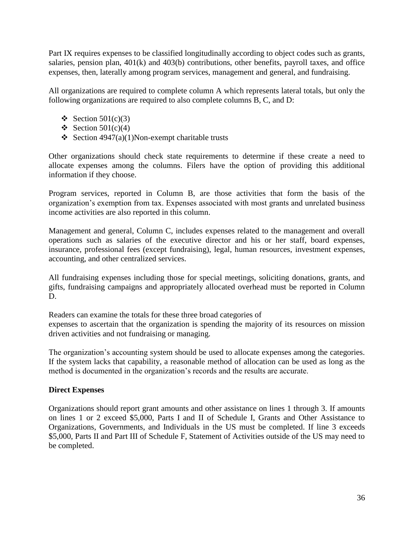Part IX requires expenses to be classified longitudinally according to object codes such as grants, salaries, pension plan, 401(k) and 403(b) contributions, other benefits, payroll taxes, and office expenses, then, laterally among program services, management and general, and fundraising.

All organizations are required to complete column A which represents lateral totals, but only the following organizations are required to also complete columns B, C, and D:

- $\div$  Section 501(c)(3)
- $\div$  Section 501(c)(4)
- Section 4947(a)(1)Non-exempt charitable trusts

Other organizations should check state requirements to determine if these create a need to allocate expenses among the columns. Filers have the option of providing this additional information if they choose.

Program services, reported in Column B, are those activities that form the basis of the organization's exemption from tax. Expenses associated with most grants and unrelated business income activities are also reported in this column.

Management and general, Column C, includes expenses related to the management and overall operations such as salaries of the executive director and his or her staff, board expenses, insurance, professional fees (except fundraising), legal, human resources, investment expenses, accounting, and other centralized services.

All fundraising expenses including those for special meetings, soliciting donations, grants, and gifts, fundraising campaigns and appropriately allocated overhead must be reported in Column D.

Readers can examine the totals for these three broad categories of expenses to ascertain that the organization is spending the majority of its resources on mission driven activities and not fundraising or managing.

The organization's accounting system should be used to allocate expenses among the categories. If the system lacks that capability, a reasonable method of allocation can be used as long as the method is documented in the organization's records and the results are accurate.

## **Direct Expenses**

Organizations should report grant amounts and other assistance on lines 1 through 3. If amounts on lines 1 or 2 exceed \$5,000, Parts I and II of Schedule I, Grants and Other Assistance to Organizations, Governments, and Individuals in the US must be completed. If line 3 exceeds \$5,000, Parts II and Part III of Schedule F, Statement of Activities outside of the US may need to be completed.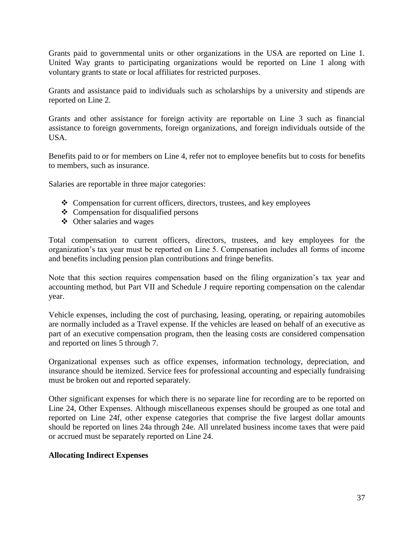Grants paid to governmental units or other organizations in the USA are reported on Line 1. United Way grants to participating organizations would be reported on Line 1 along with voluntary grants to state or local affiliates for restricted purposes.

Grants and assistance paid to individuals such as scholarships by a university and stipends are reported on Line 2.

Grants and other assistance for foreign activity are reportable on Line 3 such as financial assistance to foreign governments, foreign organizations, and foreign individuals outside of the USA.

Benefits paid to or for members on Line 4, refer not to employee benefits but to costs for benefits to members, such as insurance.

Salaries are reportable in three major categories:

- Compensation for current officers, directors, trustees, and key employees
- $\triangleleft$  Compensation for disqualified persons
- $\triangleleft$  Other salaries and wages

Total compensation to current officers, directors, trustees, and key employees for the organization's tax year must be reported on Line 5. Compensation includes all forms of income and benefits including pension plan contributions and fringe benefits.

Note that this section requires compensation based on the filing organization's tax year and accounting method, but Part VII and Schedule J require reporting compensation on the calendar year.

Vehicle expenses, including the cost of purchasing, leasing, operating, or repairing automobiles are normally included as a Travel expense. If the vehicles are leased on behalf of an executive as part of an executive compensation program, then the leasing costs are considered compensation and reported on lines 5 through 7.

Organizational expenses such as office expenses, information technology, depreciation, and insurance should be itemized. Service fees for professional accounting and especially fundraising must be broken out and reported separately.

Other significant expenses for which there is no separate line for recording are to be reported on Line 24, Other Expenses. Although miscellaneous expenses should be grouped as one total and reported on Line 24f, other expense categories that comprise the five largest dollar amounts should be reported on lines 24a through 24e. All unrelated business income taxes that were paid or accrued must be separately reported on Line 24.

#### **Allocating Indirect Expenses**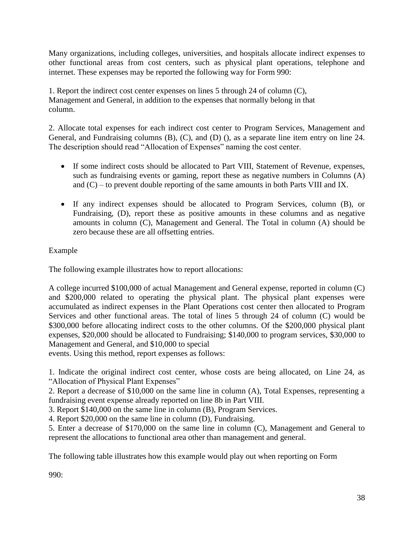Many organizations, including colleges, universities, and hospitals allocate indirect expenses to other functional areas from cost centers, such as physical plant operations, telephone and internet. These expenses may be reported the following way for Form 990:

1. Report the indirect cost center expenses on lines 5 through 24 of column (C), Management and General, in addition to the expenses that normally belong in that column.

2. Allocate total expenses for each indirect cost center to Program Services, Management and General, and Fundraising columns (B), (C), and (D) (), as a separate line item entry on line 24. The description should read "Allocation of Expenses" naming the cost center.

- If some indirect costs should be allocated to Part VIII, Statement of Revenue, expenses, such as fundraising events or gaming, report these as negative numbers in Columns (A) and (C) – to prevent double reporting of the same amounts in both Parts VIII and IX.
- If any indirect expenses should be allocated to Program Services, column (B), or Fundraising, (D), report these as positive amounts in these columns and as negative amounts in column (C), Management and General. The Total in column (A) should be zero because these are all offsetting entries.

Example

The following example illustrates how to report allocations:

A college incurred \$100,000 of actual Management and General expense, reported in column (C) and \$200,000 related to operating the physical plant. The physical plant expenses were accumulated as indirect expenses in the Plant Operations cost center then allocated to Program Services and other functional areas. The total of lines 5 through 24 of column (C) would be \$300,000 before allocating indirect costs to the other columns. Of the \$200,000 physical plant expenses, \$20,000 should be allocated to Fundraising; \$140,000 to program services, \$30,000 to Management and General, and \$10,000 to special

events. Using this method, report expenses as follows:

1. Indicate the original indirect cost center, whose costs are being allocated, on Line 24, as "Allocation of Physical Plant Expenses"

2. Report a decrease of \$10,000 on the same line in column (A), Total Expenses, representing a fundraising event expense already reported on line 8b in Part VIII.

3. Report \$140,000 on the same line in column (B), Program Services.

4. Report \$20,000 on the same line in column (D), Fundraising.

5. Enter a decrease of \$170,000 on the same line in column (C), Management and General to represent the allocations to functional area other than management and general.

The following table illustrates how this example would play out when reporting on Form

990: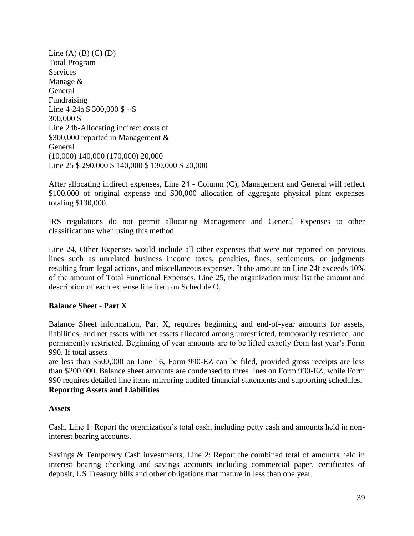Line  $(A)$   $(B)$   $(C)$   $(D)$ Total Program **Services** Manage & General Fundraising Line 4-24a \$ 300,000 \$ --\$ 300,000 \$ Line 24b-Allocating indirect costs of \$300,000 reported in Management & General (10,000) 140,000 (170,000) 20,000 Line 25 \$ 290,000 \$ 140,000 \$ 130,000 \$ 20,000

After allocating indirect expenses, Line 24 - Column (C), Management and General will reflect \$100,000 of original expense and \$30,000 allocation of aggregate physical plant expenses totaling \$130,000.

IRS regulations do not permit allocating Management and General Expenses to other classifications when using this method.

Line 24, Other Expenses would include all other expenses that were not reported on previous lines such as unrelated business income taxes, penalties, fines, settlements, or judgments resulting from legal actions, and miscellaneous expenses. If the amount on Line 24f exceeds 10% of the amount of Total Functional Expenses, Line 25, the organization must list the amount and description of each expense line item on Schedule O.

#### **Balance Sheet - Part X**

Balance Sheet information, Part X, requires beginning and end-of-year amounts for assets, liabilities, and net assets with net assets allocated among unrestricted, temporarily restricted, and permanently restricted. Beginning of year amounts are to be lifted exactly from last year's Form 990. If total assets

are less than \$500,000 on Line 16, Form 990-EZ can be filed, provided gross receipts are less than \$200,000. Balance sheet amounts are condensed to three lines on Form 990-EZ, while Form 990 requires detailed line items mirroring audited financial statements and supporting schedules. **Reporting Assets and Liabilities** 

#### **Assets**

Cash, Line 1: Report the organization's total cash, including petty cash and amounts held in noninterest bearing accounts.

Savings & Temporary Cash investments, Line 2: Report the combined total of amounts held in interest bearing checking and savings accounts including commercial paper, certificates of deposit, US Treasury bills and other obligations that mature in less than one year.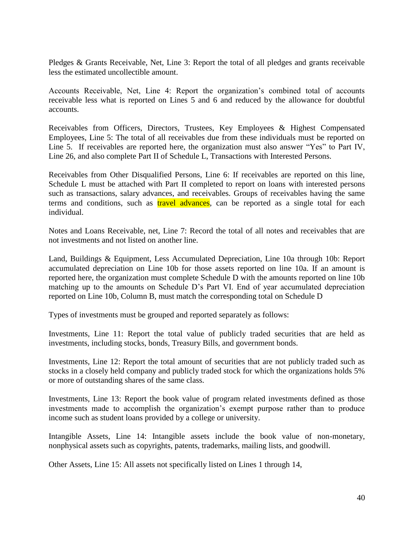Pledges & Grants Receivable, Net, Line 3: Report the total of all pledges and grants receivable less the estimated uncollectible amount.

Accounts Receivable, Net, Line 4: Report the organization's combined total of accounts receivable less what is reported on Lines 5 and 6 and reduced by the allowance for doubtful accounts.

Receivables from Officers, Directors, Trustees, Key Employees & Highest Compensated Employees, Line 5: The total of all receivables due from these individuals must be reported on Line 5. If receivables are reported here, the organization must also answer "Yes" to Part IV, Line 26, and also complete Part II of Schedule L, Transactions with Interested Persons.

Receivables from Other Disqualified Persons, Line 6: If receivables are reported on this line, Schedule L must be attached with Part II completed to report on loans with interested persons such as transactions, salary advances, and receivables. Groups of receivables having the same terms and conditions, such as **travel advances**, can be reported as a single total for each individual.

Notes and Loans Receivable, net, Line 7: Record the total of all notes and receivables that are not investments and not listed on another line.

Land, Buildings & Equipment, Less Accumulated Depreciation, Line 10a through 10b: Report accumulated depreciation on Line 10b for those assets reported on line 10a. If an amount is reported here, the organization must complete Schedule D with the amounts reported on line 10b matching up to the amounts on Schedule D's Part VI. End of year accumulated depreciation reported on Line 10b, Column B, must match the corresponding total on Schedule D

Types of investments must be grouped and reported separately as follows:

Investments, Line 11: Report the total value of publicly traded securities that are held as investments, including stocks, bonds, Treasury Bills, and government bonds.

Investments, Line 12: Report the total amount of securities that are not publicly traded such as stocks in a closely held company and publicly traded stock for which the organizations holds 5% or more of outstanding shares of the same class.

Investments, Line 13: Report the book value of program related investments defined as those investments made to accomplish the organization's exempt purpose rather than to produce income such as student loans provided by a college or university.

Intangible Assets, Line 14: Intangible assets include the book value of non-monetary, nonphysical assets such as copyrights, patents, trademarks, mailing lists, and goodwill.

Other Assets, Line 15: All assets not specifically listed on Lines 1 through 14,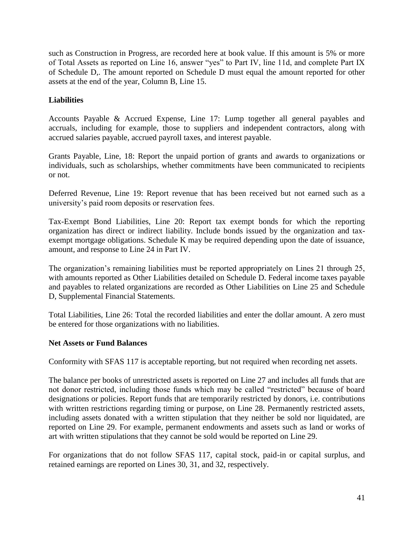such as Construction in Progress, are recorded here at book value. If this amount is 5% or more of Total Assets as reported on Line 16, answer "yes" to Part IV, line 11d, and complete Part IX of Schedule D,. The amount reported on Schedule D must equal the amount reported for other assets at the end of the year, Column B, Line 15.

# **Liabilities**

Accounts Payable & Accrued Expense, Line 17: Lump together all general payables and accruals, including for example, those to suppliers and independent contractors, along with accrued salaries payable, accrued payroll taxes, and interest payable.

Grants Payable, Line, 18: Report the unpaid portion of grants and awards to organizations or individuals, such as scholarships, whether commitments have been communicated to recipients or not.

Deferred Revenue, Line 19: Report revenue that has been received but not earned such as a university's paid room deposits or reservation fees.

Tax-Exempt Bond Liabilities, Line 20: Report tax exempt bonds for which the reporting organization has direct or indirect liability. Include bonds issued by the organization and taxexempt mortgage obligations. Schedule K may be required depending upon the date of issuance, amount, and response to Line 24 in Part IV.

The organization's remaining liabilities must be reported appropriately on Lines 21 through 25, with amounts reported as Other Liabilities detailed on Schedule D. Federal income taxes payable and payables to related organizations are recorded as Other Liabilities on Line 25 and Schedule D, Supplemental Financial Statements.

Total Liabilities, Line 26: Total the recorded liabilities and enter the dollar amount. A zero must be entered for those organizations with no liabilities.

#### **Net Assets or Fund Balances**

Conformity with SFAS 117 is acceptable reporting, but not required when recording net assets.

The balance per books of unrestricted assets is reported on Line 27 and includes all funds that are not donor restricted, including those funds which may be called "restricted" because of board designations or policies. Report funds that are temporarily restricted by donors, i.e. contributions with written restrictions regarding timing or purpose, on Line 28. Permanently restricted assets, including assets donated with a written stipulation that they neither be sold nor liquidated, are reported on Line 29. For example, permanent endowments and assets such as land or works of art with written stipulations that they cannot be sold would be reported on Line 29.

For organizations that do not follow SFAS 117, capital stock, paid-in or capital surplus, and retained earnings are reported on Lines 30, 31, and 32, respectively.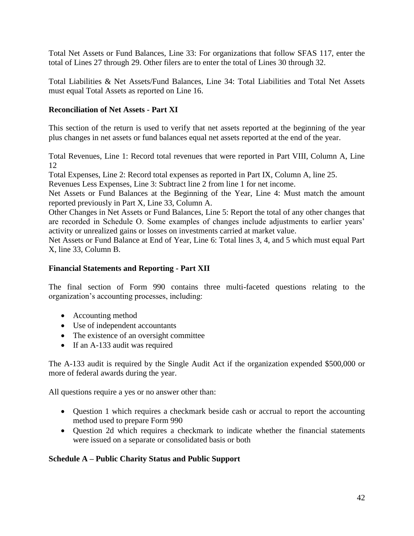Total Net Assets or Fund Balances, Line 33: For organizations that follow SFAS 117, enter the total of Lines 27 through 29. Other filers are to enter the total of Lines 30 through 32.

Total Liabilities & Net Assets/Fund Balances, Line 34: Total Liabilities and Total Net Assets must equal Total Assets as reported on Line 16.

## **Reconciliation of Net Assets - Part XI**

This section of the return is used to verify that net assets reported at the beginning of the year plus changes in net assets or fund balances equal net assets reported at the end of the year.

Total Revenues, Line 1: Record total revenues that were reported in Part VIII, Column A, Line 12

Total Expenses, Line 2: Record total expenses as reported in Part IX, Column A, line 25.

Revenues Less Expenses, Line 3: Subtract line 2 from line 1 for net income.

Net Assets or Fund Balances at the Beginning of the Year, Line 4: Must match the amount reported previously in Part X, Line 33, Column A.

Other Changes in Net Assets or Fund Balances, Line 5: Report the total of any other changes that are recorded in Schedule O. Some examples of changes include adjustments to earlier years' activity or unrealized gains or losses on investments carried at market value.

Net Assets or Fund Balance at End of Year, Line 6: Total lines 3, 4, and 5 which must equal Part X, line 33, Column B.

## **Financial Statements and Reporting - Part XII**

The final section of Form 990 contains three multi-faceted questions relating to the organization's accounting processes, including:

- Accounting method
- Use of independent accountants
- The existence of an oversight committee
- If an A-133 audit was required

The A-133 audit is required by the Single Audit Act if the organization expended \$500,000 or more of federal awards during the year.

All questions require a yes or no answer other than:

- Question 1 which requires a checkmark beside cash or accrual to report the accounting method used to prepare Form 990
- Question 2d which requires a checkmark to indicate whether the financial statements were issued on a separate or consolidated basis or both

## **Schedule A – Public Charity Status and Public Support**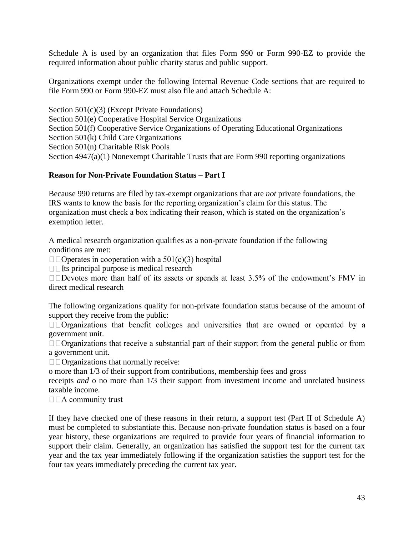Schedule A is used by an organization that files Form 990 or Form 990-EZ to provide the required information about public charity status and public support.

Organizations exempt under the following Internal Revenue Code sections that are required to file Form 990 or Form 990-EZ must also file and attach Schedule A:

Section 501(c)(3) (Except Private Foundations) Section 501(e) Cooperative Hospital Service Organizations Section 501(f) Cooperative Service Organizations of Operating Educational Organizations Section 501(k) Child Care Organizations Section 501(n) Charitable Risk Pools Section 4947(a)(1) Nonexempt Charitable Trusts that are Form 990 reporting organizations

## **Reason for Non-Private Foundation Status – Part I**

Because 990 returns are filed by tax-exempt organizations that are *not* private foundations, the IRS wants to know the basis for the reporting organization's claim for this status. The organization must check a box indicating their reason, which is stated on the organization's exemption letter.

A medical research organization qualifies as a non-private foundation if the following conditions are met:

 $\square$   $\square$  Operates in cooperation with a 501(c)(3) hospital

 $\Box$  Its principal purpose is medical research

 $\Box$  Devotes more than half of its assets or spends at least 3.5% of the endowment's FMV in direct medical research

The following organizations qualify for non-private foundation status because of the amount of support they receive from the public:

 $\square$   $\square$   $\Omega$   $\Omega$   $\Omega$   $\Omega$   $\Omega$  as that benefit colleges and universities that are owned or operated by a government unit.

 $\Box$   $\Box$  Organizations that receive a substantial part of their support from the general public or from a government unit.

rganizations that normally receive:

o more than 1/3 of their support from contributions, membership fees and gross

receipts *and* o no more than 1/3 their support from investment income and unrelated business taxable income.

 $\square$   $\square$  A community trust

If they have checked one of these reasons in their return, a support test (Part II of Schedule A) must be completed to substantiate this. Because non-private foundation status is based on a four year history, these organizations are required to provide four years of financial information to support their claim. Generally, an organization has satisfied the support test for the current tax year and the tax year immediately following if the organization satisfies the support test for the four tax years immediately preceding the current tax year.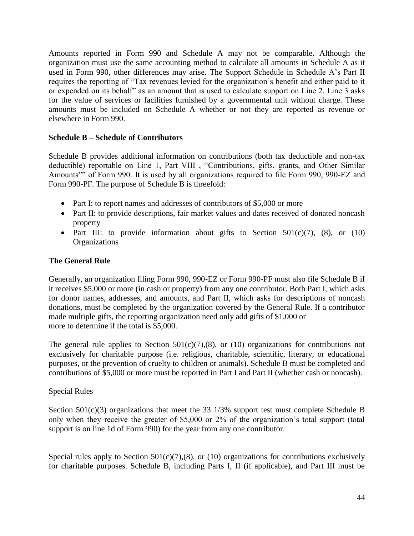Amounts reported in Form 990 and Schedule A may not be comparable. Although the organization must use the same accounting method to calculate all amounts in Schedule A as it used in Form 990, other differences may arise. The Support Schedule in Schedule A's Part II requires the reporting of "Tax revenues levied for the organization's benefit and either paid to it or expended on its behalf" as an amount that is used to calculate support on Line 2. Line 3 asks for the value of services or facilities furnished by a governmental unit without charge. These amounts must be included on Schedule A whether or not they are reported as revenue or elsewhere in Form 990.

#### **Schedule B – Schedule of Contributors**

Schedule B provides additional information on contributions (both tax deductible and non-tax deductible) reportable on Line 1, Part VIII , "Contributions, gifts, grants, and Other Similar Amounts"" of Form 990. It is used by all organizations required to file Form 990, 990-EZ and Form 990-PF. The purpose of Schedule B is threefold:

- Part I: to report names and addresses of contributors of \$5,000 or more
- Part II: to provide descriptions, fair market values and dates received of donated noncash property
- Part III: to provide information about gifts to Section  $501(c)(7)$ ,  $(8)$ , or  $(10)$ **Organizations**

#### **The General Rule**

Generally, an organization filing Form 990, 990-EZ or Form 990-PF must also file Schedule B if it receives \$5,000 or more (in cash or property) from any one contributor. Both Part I, which asks for donor names, addresses, and amounts, and Part II, which asks for descriptions of noncash donations, must be completed by the organization covered by the General Rule. If a contributor made multiple gifts, the reporting organization need only add gifts of \$1,000 or more to determine if the total is \$5,000.

The general rule applies to Section  $501(c)(7)$ , (8), or (10) organizations for contributions not exclusively for charitable purpose (i.e. religious, charitable, scientific, literary, or educational purposes, or the prevention of cruelty to children or animals). Schedule B must be completed and contributions of \$5,000 or more must be reported in Part I and Part II (whether cash or noncash).

#### Special Rules

Section 501(c)(3) organizations that meet the 33 1/3% support test must complete Schedule B only when they receive the greater of \$5,000 or 2% of the organization's total support (total support is on line 1d of Form 990) for the year from any one contributor.

Special rules apply to Section  $501(c)(7)$ , (8), or (10) organizations for contributions exclusively for charitable purposes. Schedule B, including Parts I, II (if applicable), and Part III must be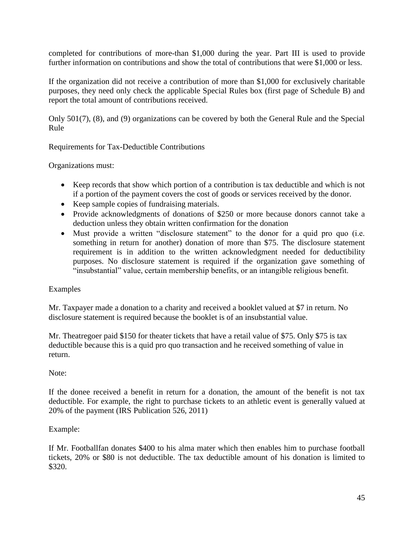completed for contributions of more-than \$1,000 during the year. Part III is used to provide further information on contributions and show the total of contributions that were \$1,000 or less.

If the organization did not receive a contribution of more than \$1,000 for exclusively charitable purposes, they need only check the applicable Special Rules box (first page of Schedule B) and report the total amount of contributions received.

Only 501(7), (8), and (9) organizations can be covered by both the General Rule and the Special Rule

Requirements for Tax-Deductible Contributions

Organizations must:

- Keep records that show which portion of a contribution is tax deductible and which is not if a portion of the payment covers the cost of goods or services received by the donor.
- Keep sample copies of fundraising materials.
- Provide acknowledgments of donations of \$250 or more because donors cannot take a deduction unless they obtain written confirmation for the donation
- Must provide a written "disclosure statement" to the donor for a quid pro quo (i.e. something in return for another) donation of more than \$75. The disclosure statement requirement is in addition to the written acknowledgment needed for deductibility purposes. No disclosure statement is required if the organization gave something of "insubstantial" value, certain membership benefits, or an intangible religious benefit.

## Examples

Mr. Taxpayer made a donation to a charity and received a booklet valued at \$7 in return. No disclosure statement is required because the booklet is of an insubstantial value.

Mr. Theatregoer paid \$150 for theater tickets that have a retail value of \$75. Only \$75 is tax deductible because this is a quid pro quo transaction and he received something of value in return.

#### Note:

If the donee received a benefit in return for a donation, the amount of the benefit is not tax deductible. For example, the right to purchase tickets to an athletic event is generally valued at 20% of the payment (IRS Publication 526, 2011)

## Example:

If Mr. Footballfan donates \$400 to his alma mater which then enables him to purchase football tickets, 20% or \$80 is not deductible. The tax deductible amount of his donation is limited to \$320.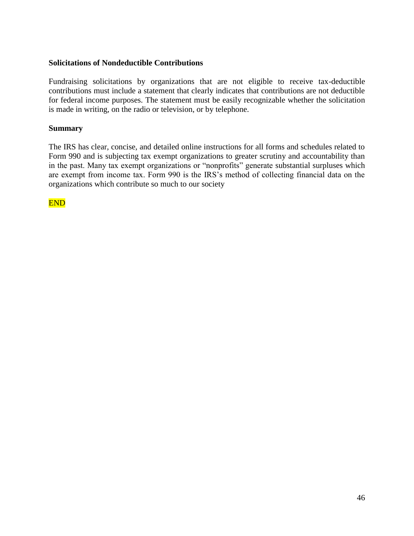#### **Solicitations of Nondeductible Contributions**

Fundraising solicitations by organizations that are not eligible to receive tax-deductible contributions must include a statement that clearly indicates that contributions are not deductible for federal income purposes. The statement must be easily recognizable whether the solicitation is made in writing, on the radio or television, or by telephone.

#### **Summary**

The IRS has clear, concise, and detailed online instructions for all forms and schedules related to Form 990 and is subjecting tax exempt organizations to greater scrutiny and accountability than in the past. Many tax exempt organizations or "nonprofits" generate substantial surpluses which are exempt from income tax. Form 990 is the IRS's method of collecting financial data on the organizations which contribute so much to our society

END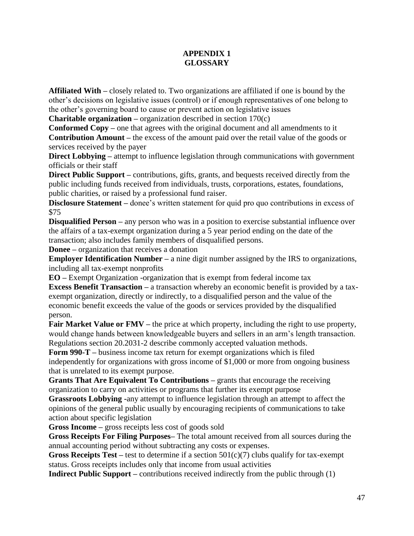# **APPENDIX 1 GLOSSARY**

**Affiliated With –** closely related to. Two organizations are affiliated if one is bound by the other's decisions on legislative issues (control) or if enough representatives of one belong to the other's governing board to cause or prevent action on legislative issues

**Charitable organization –** organization described in section 170(c)

**Conformed Copy –** one that agrees with the original document and all amendments to it **Contribution Amount –** the excess of the amount paid over the retail value of the goods or services received by the payer

**Direct Lobbying** – attempt to influence legislation through communications with government officials or their staff

**Direct Public Support** – contributions, gifts, grants, and bequests received directly from the public including funds received from individuals, trusts, corporations, estates, foundations, public charities, or raised by a professional fund raiser.

**Disclosure Statement** – donee's written statement for quid pro quo contributions in excess of \$75

**Disqualified Person** – any person who was in a position to exercise substantial influence over the affairs of a tax-exempt organization during a 5 year period ending on the date of the transaction; also includes family members of disqualified persons.

**Donee –** organization that receives a donation

**Employer Identification Number** – a nine digit number assigned by the IRS to organizations, including all tax-exempt nonprofits

**EO –** Exempt Organization -organization that is exempt from federal income tax

**Excess Benefit Transaction –** a transaction whereby an economic benefit is provided by a taxexempt organization, directly or indirectly, to a disqualified person and the value of the economic benefit exceeds the value of the goods or services provided by the disqualified person.

**Fair Market Value or FMV** – the price at which property, including the right to use property, would change hands between knowledgeable buyers and sellers in an arm's length transaction. Regulations section 20.2031-2 describe commonly accepted valuation methods.

**Form 990-T –** business income tax return for exempt organizations which is filed independently for organizations with gross income of \$1,000 or more from ongoing business that is unrelated to its exempt purpose.

**Grants That Are Equivalent To Contributions –** grants that encourage the receiving organization to carry on activities or programs that further its exempt purpose

**Grassroots Lobbying -**any attempt to influence legislation through an attempt to affect the opinions of the general public usually by encouraging recipients of communications to take action about specific legislation

**Gross Income –** gross receipts less cost of goods sold

**Gross Receipts For Filing Purposes–** The total amount received from all sources during the annual accounting period without subtracting any costs or expenses.

**Gross Receipts Test** – test to determine if a section 501(c)(7) clubs qualify for tax-exempt status. Gross receipts includes only that income from usual activities

**Indirect Public Support** – contributions received indirectly from the public through (1)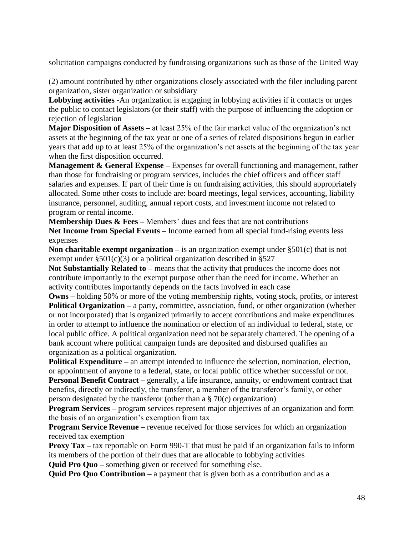solicitation campaigns conducted by fundraising organizations such as those of the United Way

(2) amount contributed by other organizations closely associated with the filer including parent organization, sister organization or subsidiary

**Lobbying activities -**An organization is engaging in lobbying activities if it contacts or urges the public to contact legislators (or their staff) with the purpose of influencing the adoption or rejection of legislation

**Major Disposition of Assets –** at least 25% of the fair market value of the organization's net assets at the beginning of the tax year or one of a series of related dispositions begun in earlier years that add up to at least 25% of the organization's net assets at the beginning of the tax year when the first disposition occurred.

**Management & General Expense** – Expenses for overall functioning and management, rather than those for fundraising or program services, includes the chief officers and officer staff salaries and expenses. If part of their time is on fundraising activities, this should appropriately allocated. Some other costs to include are: board meetings, legal services, accounting, liability insurance, personnel, auditing, annual report costs, and investment income not related to program or rental income.

**Membership Dues & Fees –** Members' dues and fees that are not contributions **Net Income from Special Events –** Income earned from all special fund-rising events less expenses

**Non charitable exempt organization** – is an organization exempt under §501(c) that is not exempt under  $\S 501(c)(3)$  or a political organization described in  $\S 527$ 

**Not Substantially Related to –** means that the activity that produces the income does not contribute importantly to the exempt purpose other than the need for income. Whether an activity contributes importantly depends on the facts involved in each case

**Owns –** holding 50% or more of the voting membership rights, voting stock, profits, or interest **Political Organization** – a party, committee, association, fund, or other organization (whether or not incorporated) that is organized primarily to accept contributions and make expenditures in order to attempt to influence the nomination or election of an individual to federal, state, or local public office. A political organization need not be separately chartered. The opening of a bank account where political campaign funds are deposited and disbursed qualifies an organization as a political organization.

**Political Expenditure –** an attempt intended to influence the selection, nomination, election, or appointment of anyone to a federal, state, or local public office whether successful or not. **Personal Benefit Contract** – generally, a life insurance, annuity, or endowment contract that benefits, directly or indirectly, the transferor, a member of the transferor's family, or other person designated by the transferor (other than a § 70(c) organization)

**Program Services** – program services represent major objectives of an organization and form the basis of an organization's exemption from tax

**Program Service Revenue** – revenue received for those services for which an organization received tax exemption

**Proxy Tax** – tax reportable on Form 990-T that must be paid if an organization fails to inform its members of the portion of their dues that are allocable to lobbying activities

**Quid Pro Quo –** something given or received for something else.

**Quid Pro Quo Contribution –** a payment that is given both as a contribution and as a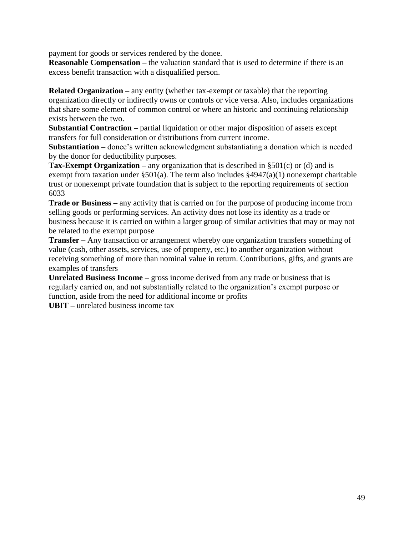payment for goods or services rendered by the donee.

**Reasonable Compensation** – the valuation standard that is used to determine if there is an excess benefit transaction with a disqualified person.

**Related Organization** – any entity (whether tax-exempt or taxable) that the reporting organization directly or indirectly owns or controls or vice versa. Also, includes organizations that share some element of common control or where an historic and continuing relationship exists between the two.

**Substantial Contraction –** partial liquidation or other major disposition of assets except transfers for full consideration or distributions from current income.

**Substantiation –** donee's written acknowledgment substantiating a donation which is needed by the donor for deductibility purposes.

**Tax-Exempt Organization –** any organization that is described in §501(c) or (d) and is exempt from taxation under  $\S 501(a)$ . The term also includes  $\S 4947(a)(1)$  nonexempt charitable trust or nonexempt private foundation that is subject to the reporting requirements of section 6033

**Trade or Business –** any activity that is carried on for the purpose of producing income from selling goods or performing services. An activity does not lose its identity as a trade or business because it is carried on within a larger group of similar activities that may or may not be related to the exempt purpose

**Transfer –** Any transaction or arrangement whereby one organization transfers something of value (cash, other assets, services, use of property, etc.) to another organization without receiving something of more than nominal value in return. Contributions, gifts, and grants are examples of transfers

**Unrelated Business Income –** gross income derived from any trade or business that is regularly carried on, and not substantially related to the organization's exempt purpose or function, aside from the need for additional income or profits

**UBIT –** unrelated business income tax